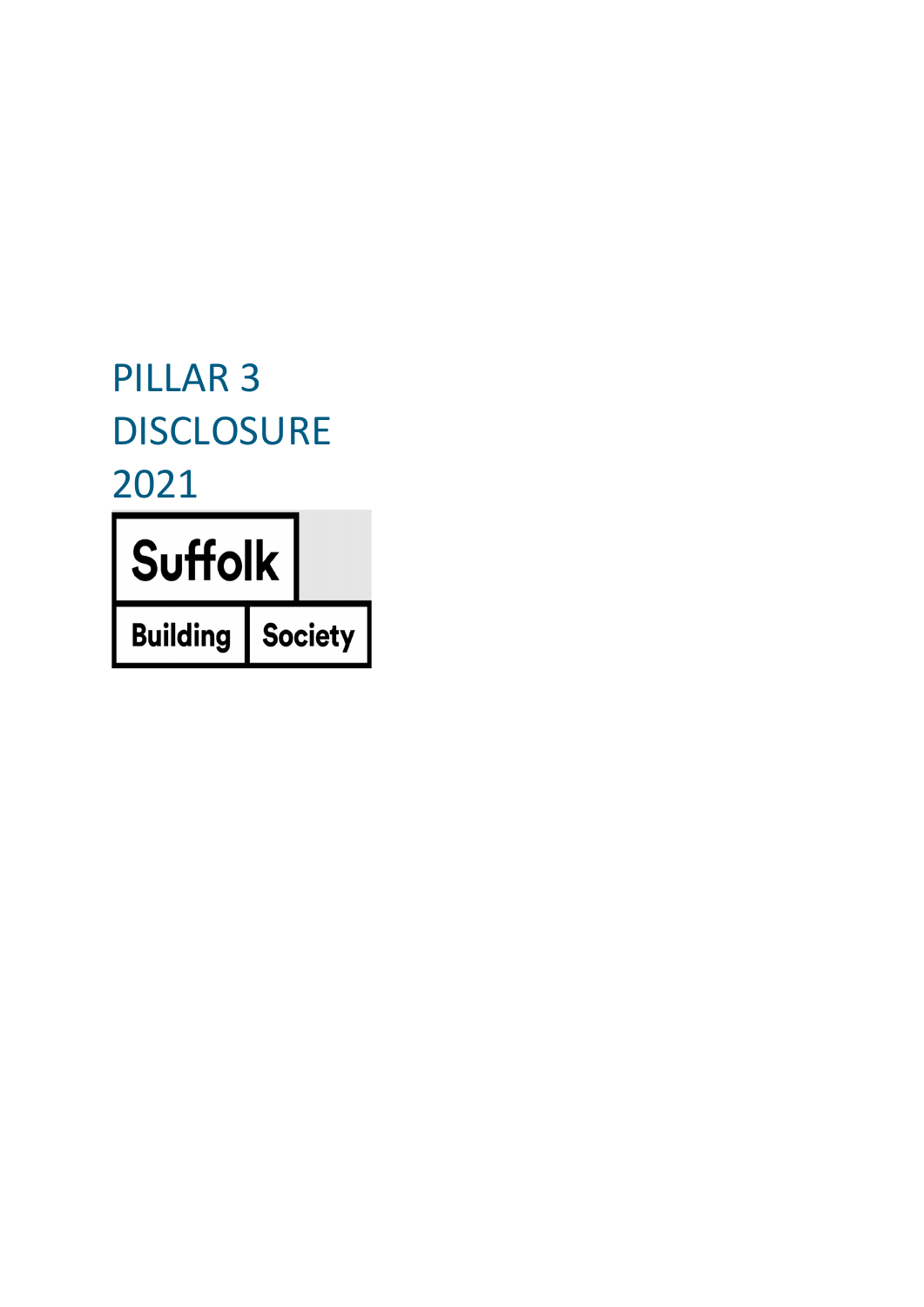# PILLAR 3 **DISCLOSURE** 2021

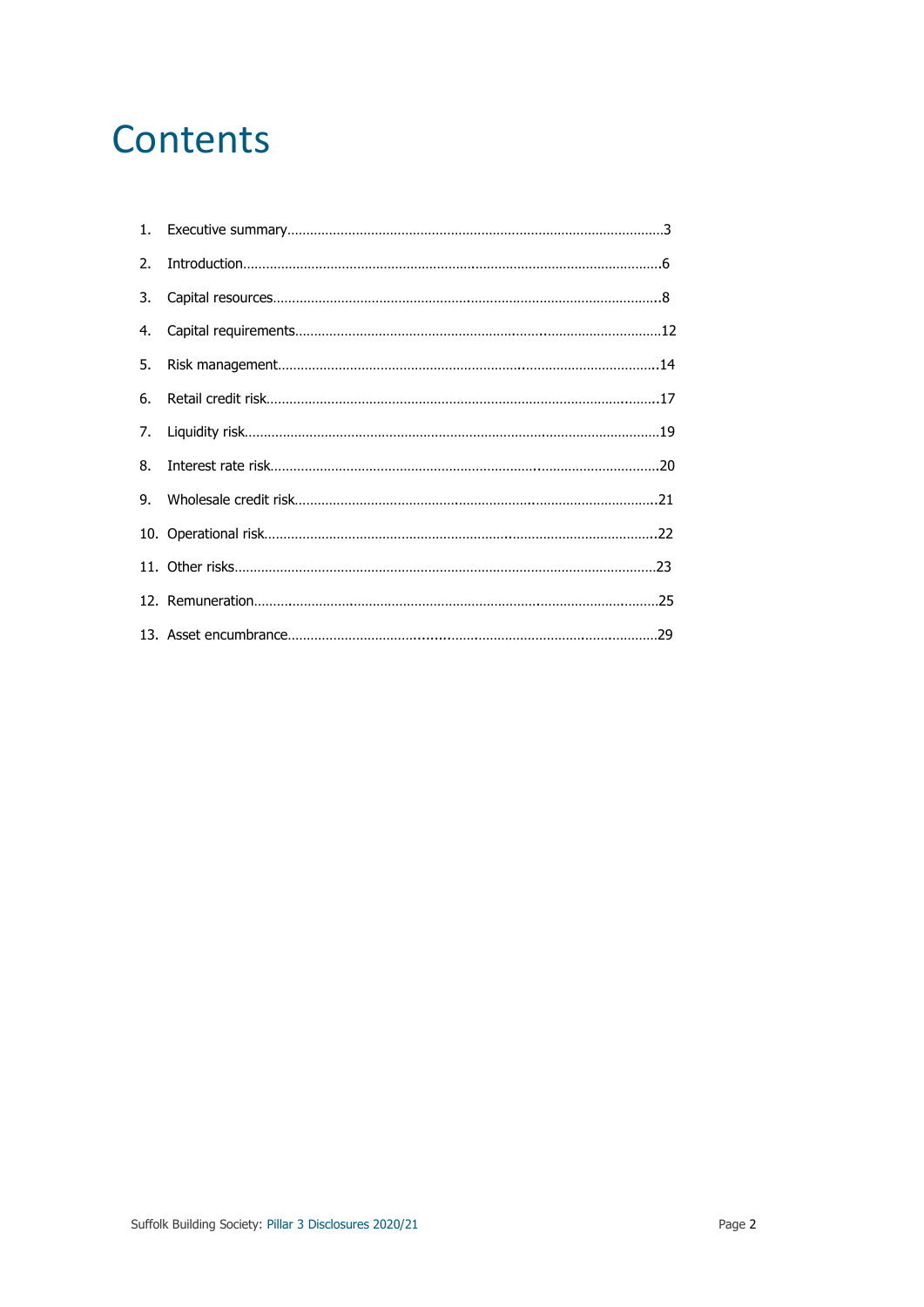## **Contents**

| $\mathfrak{D}$ . |  |
|------------------|--|
| 3.               |  |
| 4.               |  |
| 5.               |  |
| 6.               |  |
| 7.               |  |
| 8.               |  |
| 9.               |  |
|                  |  |
|                  |  |
|                  |  |
|                  |  |
|                  |  |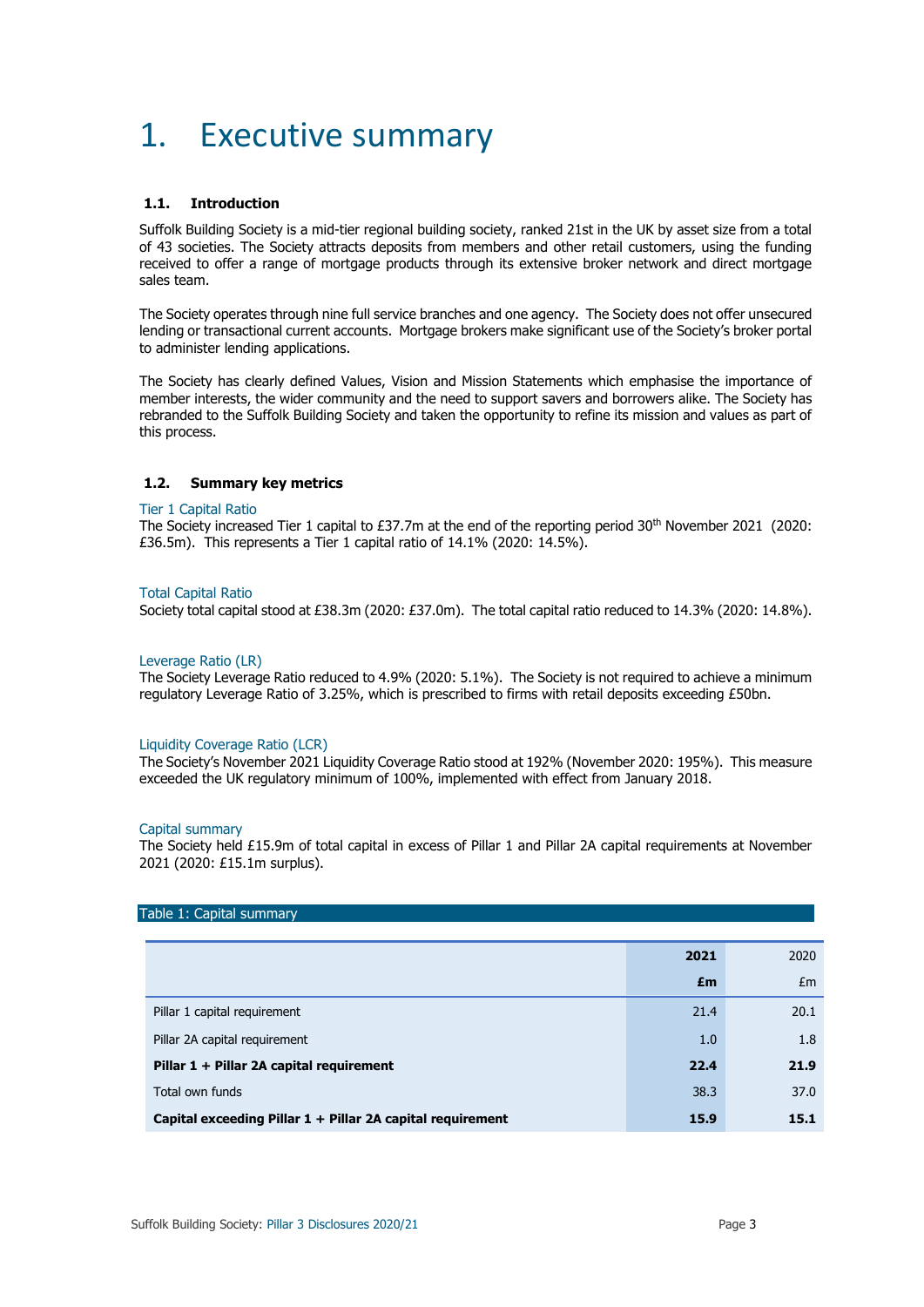## 1. Executive summary

### **1.1. Introduction**

Suffolk Building Society is a mid-tier regional building society, ranked 21st in the UK by asset size from a total of 43 societies. The Society attracts deposits from members and other retail customers, using the funding received to offer a range of mortgage products through its extensive broker network and direct mortgage sales team.

The Society operates through nine full service branches and one agency. The Society does not offer unsecured lending or transactional current accounts. Mortgage brokers make significant use of the Society's broker portal to administer lending applications.

The Society has clearly defined Values, Vision and Mission Statements which emphasise the importance of member interests, the wider community and the need to support savers and borrowers alike. The Society has rebranded to the Suffolk Building Society and taken the opportunity to refine its mission and values as part of this process.

### **1.2. Summary key metrics**

#### Tier 1 Capital Ratio

The Society increased Tier 1 capital to £37.7m at the end of the reporting period 30th November 2021 (2020: £36.5m). This represents a Tier 1 capital ratio of 14.1% (2020: 14.5%).

#### Total Capital Ratio

Society total capital stood at £38.3m (2020: £37.0m). The total capital ratio reduced to 14.3% (2020: 14.8%).

#### Leverage Ratio (LR)

The Society Leverage Ratio reduced to 4.9% (2020: 5.1%). The Society is not required to achieve a minimum regulatory Leverage Ratio of 3.25%, which is prescribed to firms with retail deposits exceeding £50bn.

#### Liquidity Coverage Ratio (LCR)

The Society's November 2021 Liquidity Coverage Ratio stood at 192% (November 2020: 195%). This measure exceeded the UK regulatory minimum of 100%, implemented with effect from January 2018.

#### Capital summary

The Society held £15.9m of total capital in excess of Pillar 1 and Pillar 2A capital requirements at November 2021 (2020: £15.1m surplus).

| Table 1: Capital summary                                   |      |      |  |  |  |  |
|------------------------------------------------------------|------|------|--|--|--|--|
|                                                            | 2021 | 2020 |  |  |  |  |
|                                                            | £m   | Em   |  |  |  |  |
| Pillar 1 capital requirement                               | 21.4 | 20.1 |  |  |  |  |
| Pillar 2A capital requirement                              | 1.0  | 1.8  |  |  |  |  |
| Pillar 1 + Pillar 2A capital requirement                   | 22.4 | 21.9 |  |  |  |  |
| Total own funds                                            | 38.3 | 37.0 |  |  |  |  |
| Capital exceeding Pillar 1 + Pillar 2A capital requirement | 15.9 | 15.1 |  |  |  |  |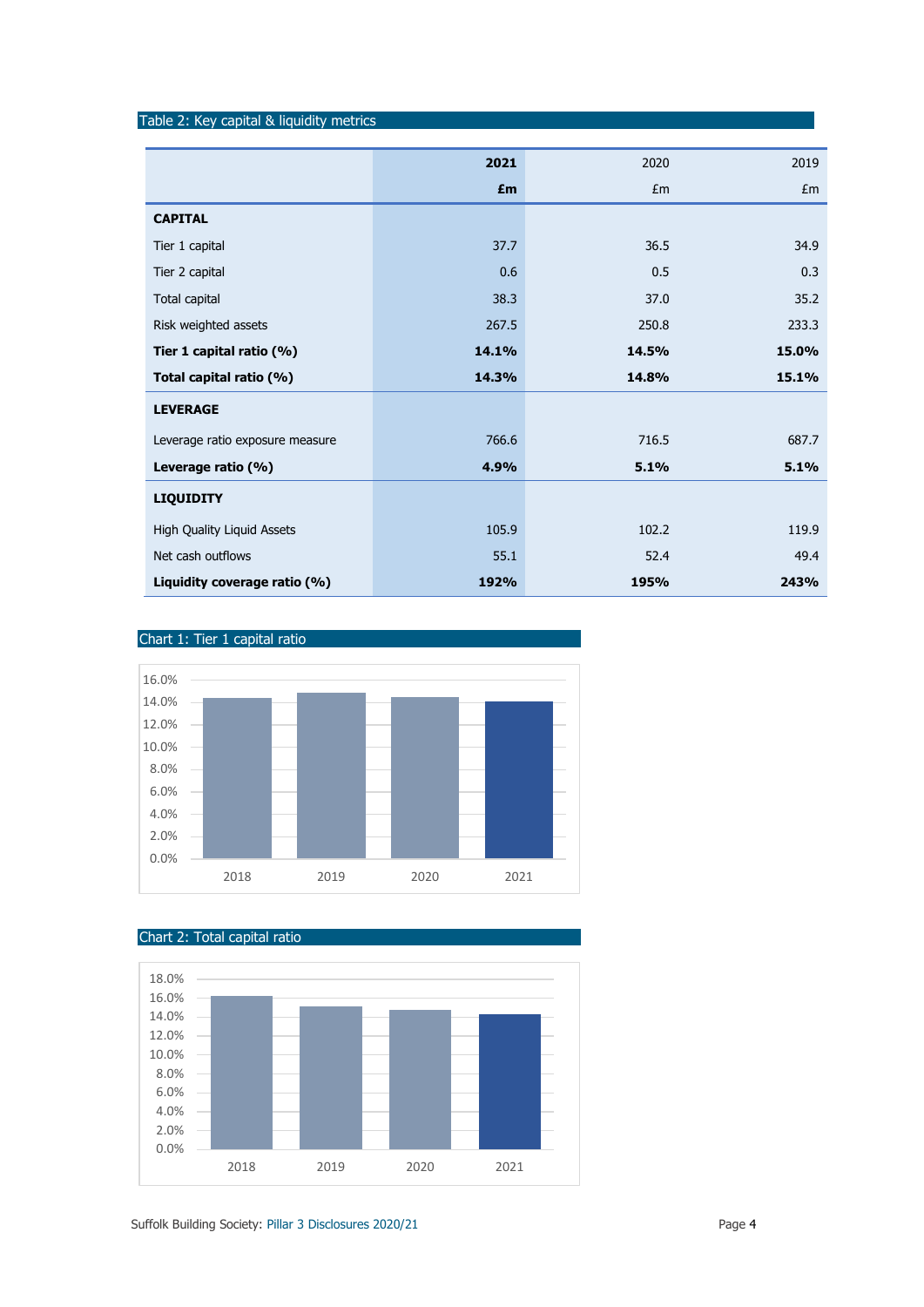|                                 | 2021  | 2020  | 2019  |
|---------------------------------|-------|-------|-------|
|                                 | £m    | Em    | Em    |
| <b>CAPITAL</b>                  |       |       |       |
| Tier 1 capital                  | 37.7  | 36.5  | 34.9  |
| Tier 2 capital                  | 0.6   | 0.5   | 0.3   |
| Total capital                   | 38.3  | 37.0  | 35.2  |
| Risk weighted assets            | 267.5 | 250.8 | 233.3 |
| Tier 1 capital ratio (%)        | 14.1% | 14.5% | 15.0% |
| Total capital ratio (%)         | 14.3% | 14.8% | 15.1% |
| <b>LEVERAGE</b>                 |       |       |       |
| Leverage ratio exposure measure | 766.6 | 716.5 | 687.7 |
| Leverage ratio (%)              | 4.9%  | 5.1%  | 5.1%  |
| <b>LIQUIDITY</b>                |       |       |       |
| High Quality Liquid Assets      | 105.9 | 102.2 | 119.9 |
| Net cash outflows               | 55.1  | 52.4  | 49.4  |
| Liquidity coverage ratio (%)    | 192%  | 195%  | 243%  |







Table 2: Key capital & liquidity metrics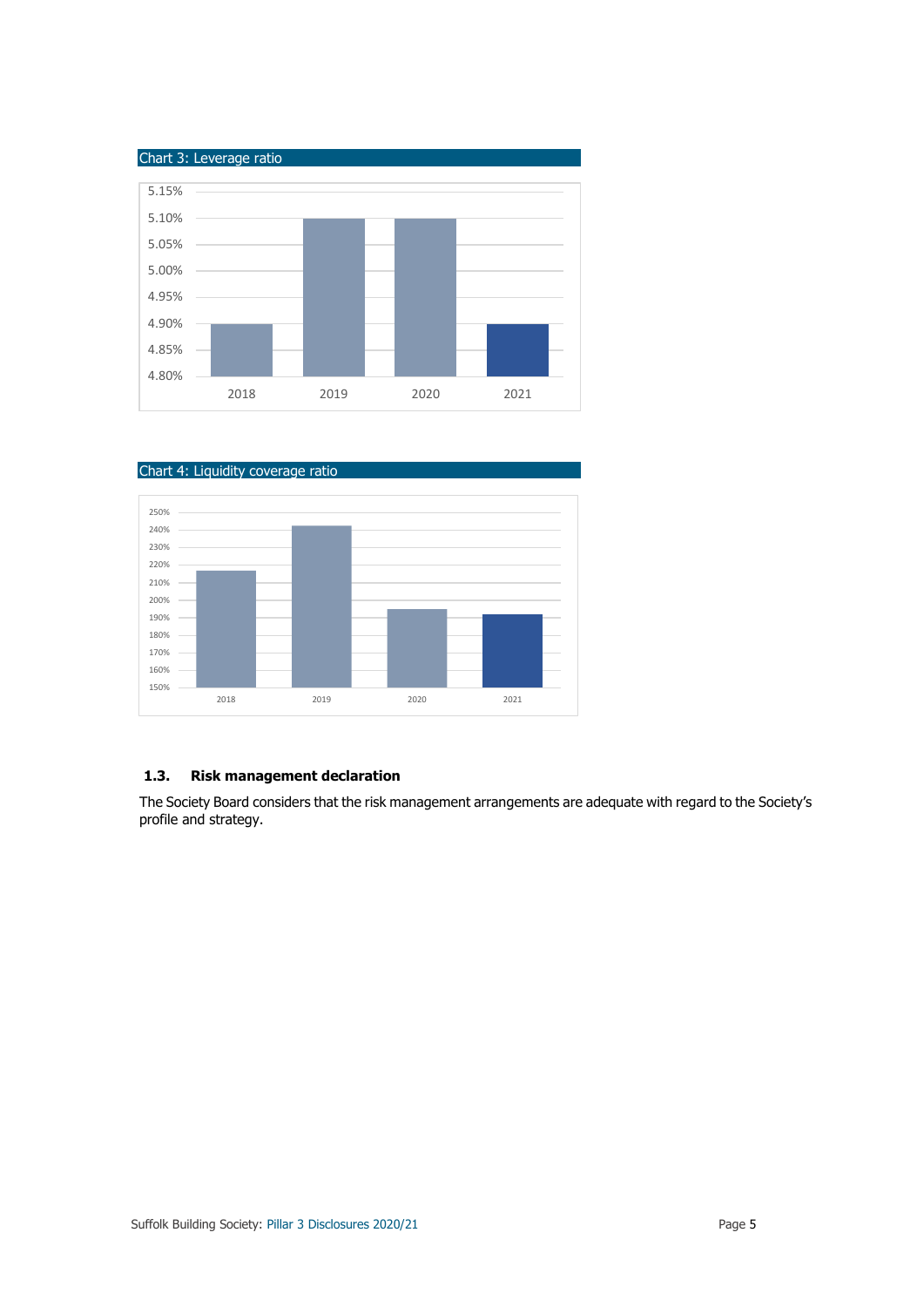



## **1.3. Risk management declaration**

The Society Board considers that the risk management arrangements are adequate with regard to the Society's profile and strategy.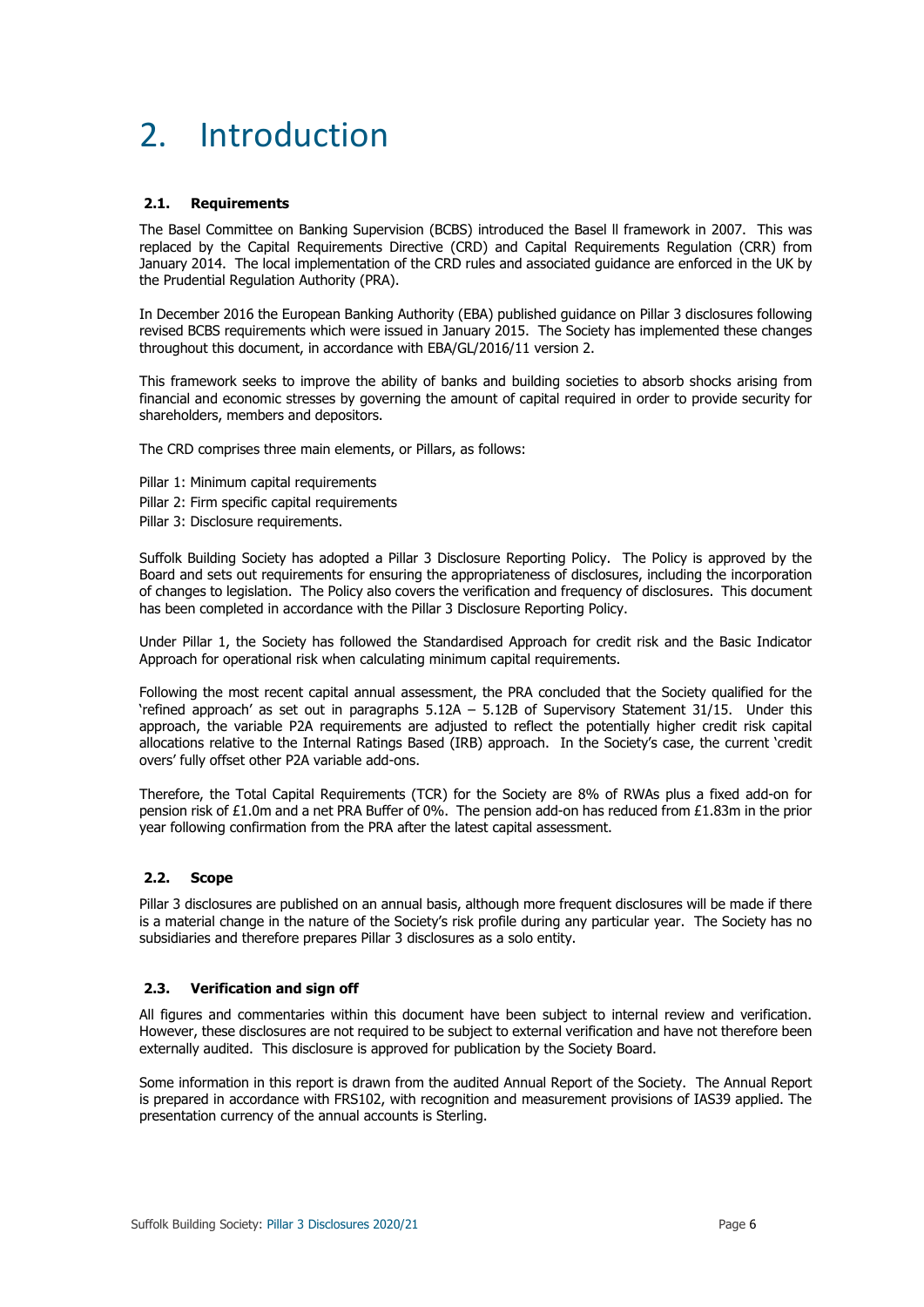## 2. Introduction

### **2.1. Requirements**

The Basel Committee on Banking Supervision (BCBS) introduced the Basel ll framework in 2007. This was replaced by the Capital Requirements Directive (CRD) and Capital Requirements Regulation (CRR) from January 2014. The local implementation of the CRD rules and associated guidance are enforced in the UK by the Prudential Regulation Authority (PRA).

In December 2016 the European Banking Authority (EBA) published guidance on Pillar 3 disclosures following revised BCBS requirements which were issued in January 2015. The Society has implemented these changes throughout this document, in accordance with EBA/GL/2016/11 version 2.

This framework seeks to improve the ability of banks and building societies to absorb shocks arising from financial and economic stresses by governing the amount of capital required in order to provide security for shareholders, members and depositors.

The CRD comprises three main elements, or Pillars, as follows:

Pillar 1: Minimum capital requirements Pillar 2: Firm specific capital requirements Pillar 3: Disclosure requirements.

Suffolk Building Society has adopted a Pillar 3 Disclosure Reporting Policy. The Policy is approved by the Board and sets out requirements for ensuring the appropriateness of disclosures, including the incorporation of changes to legislation. The Policy also covers the verification and frequency of disclosures. This document has been completed in accordance with the Pillar 3 Disclosure Reporting Policy.

Under Pillar 1, the Society has followed the Standardised Approach for credit risk and the Basic Indicator Approach for operational risk when calculating minimum capital requirements.

Following the most recent capital annual assessment, the PRA concluded that the Society qualified for the 'refined approach' as set out in paragraphs 5.12A – 5.12B of Supervisory Statement 31/15. Under this approach, the variable P2A requirements are adjusted to reflect the potentially higher credit risk capital allocations relative to the Internal Ratings Based (IRB) approach. In the Society's case, the current 'credit overs' fully offset other P2A variable add-ons.

Therefore, the Total Capital Requirements (TCR) for the Society are 8% of RWAs plus a fixed add-on for pension risk of £1.0m and a net PRA Buffer of 0%. The pension add-on has reduced from £1.83m in the prior year following confirmation from the PRA after the latest capital assessment.

## **2.2. Scope**

Pillar 3 disclosures are published on an annual basis, although more frequent disclosures will be made if there is a material change in the nature of the Society's risk profile during any particular year. The Society has no subsidiaries and therefore prepares Pillar 3 disclosures as a solo entity.

#### **2.3. Verification and sign off**

All figures and commentaries within this document have been subject to internal review and verification. However, these disclosures are not required to be subject to external verification and have not therefore been externally audited. This disclosure is approved for publication by the Society Board.

Some information in this report is drawn from the audited Annual Report of the Society. The Annual Report is prepared in accordance with FRS102, with recognition and measurement provisions of IAS39 applied. The presentation currency of the annual accounts is Sterling.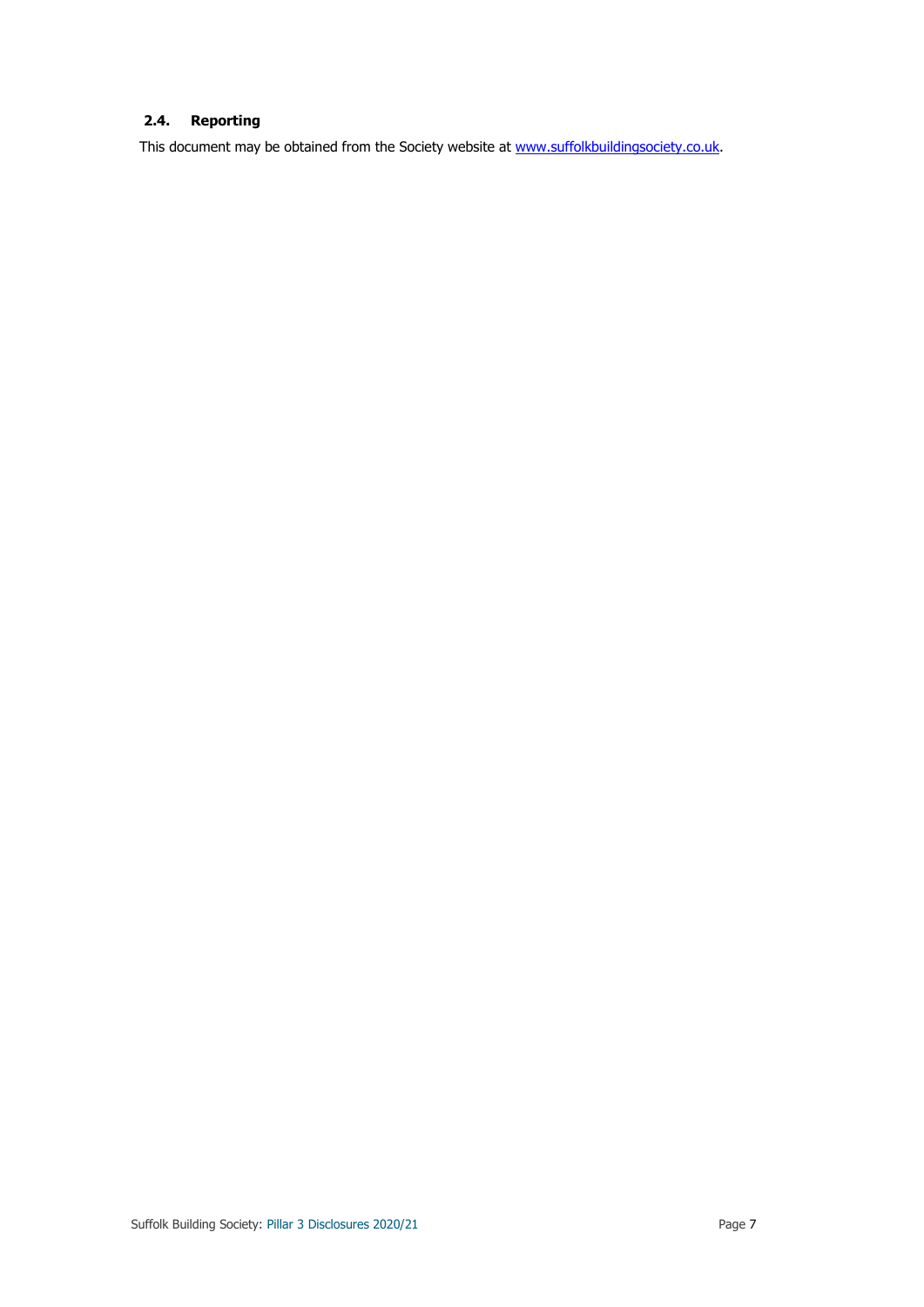## **2.4. Reporting**

This document may be obtained from the Society website at [www.suffolkbuildingsociety.co.uk.](http://www.suffolkbuildingsociety.co.uk/)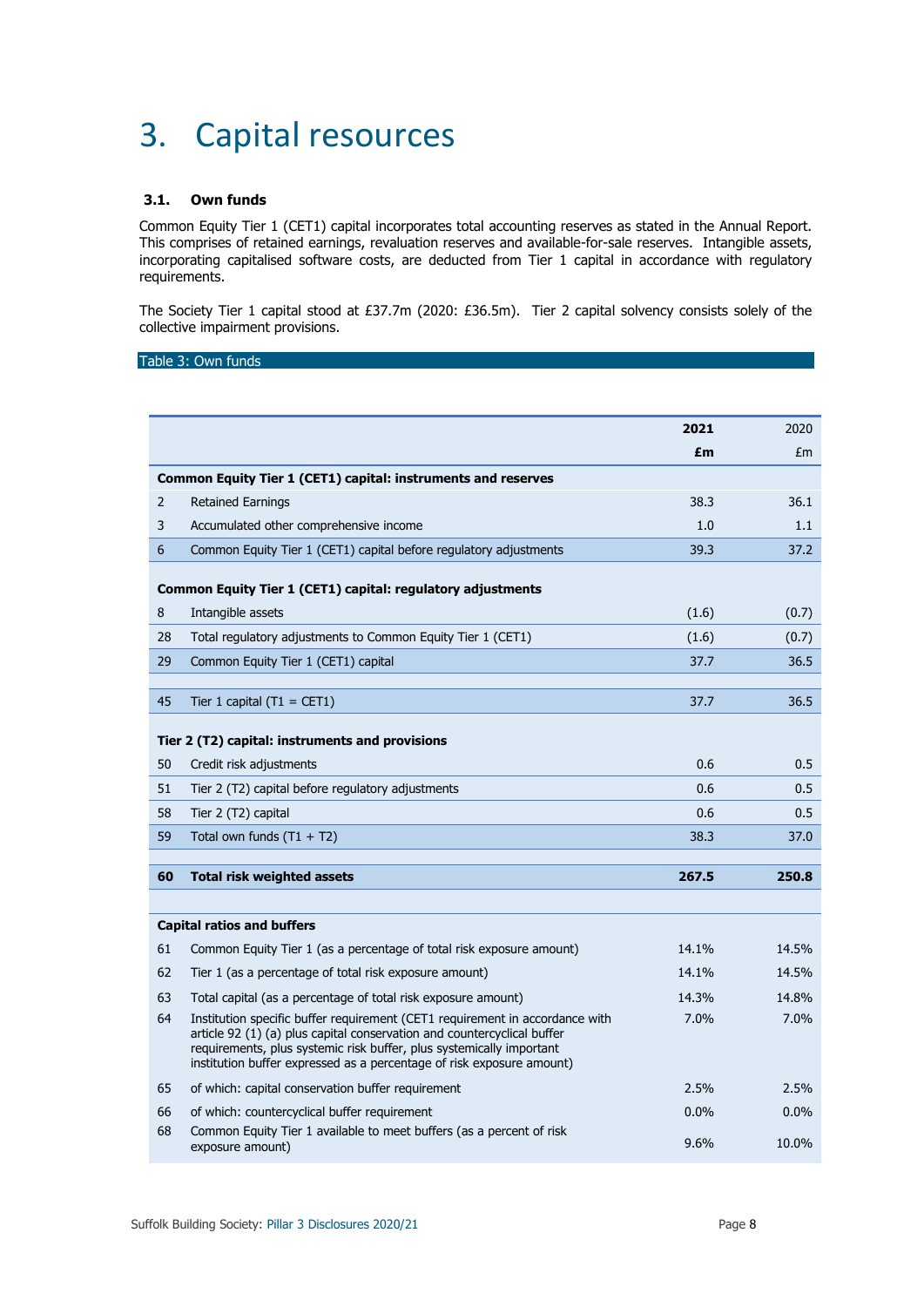## 3. Capital resources

## **3.1. Own funds**

Common Equity Tier 1 (CET1) capital incorporates total accounting reserves as stated in the Annual Report. This comprises of retained earnings, revaluation reserves and available-for-sale reserves. Intangible assets, incorporating capitalised software costs, are deducted from Tier 1 capital in accordance with regulatory requirements.

The Society Tier 1 capital stood at £37.7m (2020: £36.5m). Tier 2 capital solvency consists solely of the collective impairment provisions.

### Table 3: Own funds

|                                                 |                                                                                                                                                                                                                                                                                                          | 2021  | 2020  |
|-------------------------------------------------|----------------------------------------------------------------------------------------------------------------------------------------------------------------------------------------------------------------------------------------------------------------------------------------------------------|-------|-------|
|                                                 |                                                                                                                                                                                                                                                                                                          | £m    | £m    |
|                                                 | Common Equity Tier 1 (CET1) capital: instruments and reserves                                                                                                                                                                                                                                            |       |       |
| 2                                               | <b>Retained Earnings</b>                                                                                                                                                                                                                                                                                 | 38.3  | 36.1  |
| 3                                               | Accumulated other comprehensive income                                                                                                                                                                                                                                                                   | 1.0   | 1.1   |
| 6                                               | Common Equity Tier 1 (CET1) capital before regulatory adjustments                                                                                                                                                                                                                                        | 39.3  | 37.2  |
|                                                 | Common Equity Tier 1 (CET1) capital: regulatory adjustments                                                                                                                                                                                                                                              |       |       |
| 8                                               | Intangible assets                                                                                                                                                                                                                                                                                        | (1.6) | (0.7) |
| 28                                              | Total regulatory adjustments to Common Equity Tier 1 (CET1)                                                                                                                                                                                                                                              | (1.6) | (0.7) |
| 29                                              | Common Equity Tier 1 (CET1) capital                                                                                                                                                                                                                                                                      | 37.7  | 36.5  |
|                                                 |                                                                                                                                                                                                                                                                                                          |       |       |
| 45                                              | Tier 1 capital $(T1 = CET1)$                                                                                                                                                                                                                                                                             | 37.7  | 36.5  |
| Tier 2 (T2) capital: instruments and provisions |                                                                                                                                                                                                                                                                                                          |       |       |
| 50                                              | Credit risk adjustments                                                                                                                                                                                                                                                                                  | 0.6   | 0.5   |
| 51                                              | Tier 2 (T2) capital before regulatory adjustments                                                                                                                                                                                                                                                        | 0.6   | 0.5   |
| 58                                              | Tier 2 (T2) capital                                                                                                                                                                                                                                                                                      | 0.6   | 0.5   |
| 59                                              | Total own funds $(T1 + T2)$                                                                                                                                                                                                                                                                              |       | 37.0  |
|                                                 |                                                                                                                                                                                                                                                                                                          |       |       |
| 60                                              | <b>Total risk weighted assets</b>                                                                                                                                                                                                                                                                        | 267.5 | 250.8 |
|                                                 |                                                                                                                                                                                                                                                                                                          |       |       |
|                                                 | <b>Capital ratios and buffers</b>                                                                                                                                                                                                                                                                        |       |       |
| 61                                              | Common Equity Tier 1 (as a percentage of total risk exposure amount)                                                                                                                                                                                                                                     | 14.1% | 14.5% |
| 62                                              | Tier 1 (as a percentage of total risk exposure amount)                                                                                                                                                                                                                                                   | 14.1% | 14.5% |
| 63                                              | Total capital (as a percentage of total risk exposure amount)                                                                                                                                                                                                                                            | 14.3% | 14.8% |
| 64                                              | Institution specific buffer requirement (CET1 requirement in accordance with<br>article 92 (1) (a) plus capital conservation and countercyclical buffer<br>requirements, plus systemic risk buffer, plus systemically important<br>institution buffer expressed as a percentage of risk exposure amount) | 7.0%  | 7.0%  |
| 65                                              | of which: capital conservation buffer requirement                                                                                                                                                                                                                                                        | 2.5%  | 2.5%  |
| 66                                              | of which: countercyclical buffer requirement                                                                                                                                                                                                                                                             | 0.0%  | 0.0%  |
| 68                                              | Common Equity Tier 1 available to meet buffers (as a percent of risk<br>exposure amount)                                                                                                                                                                                                                 | 9.6%  | 10.0% |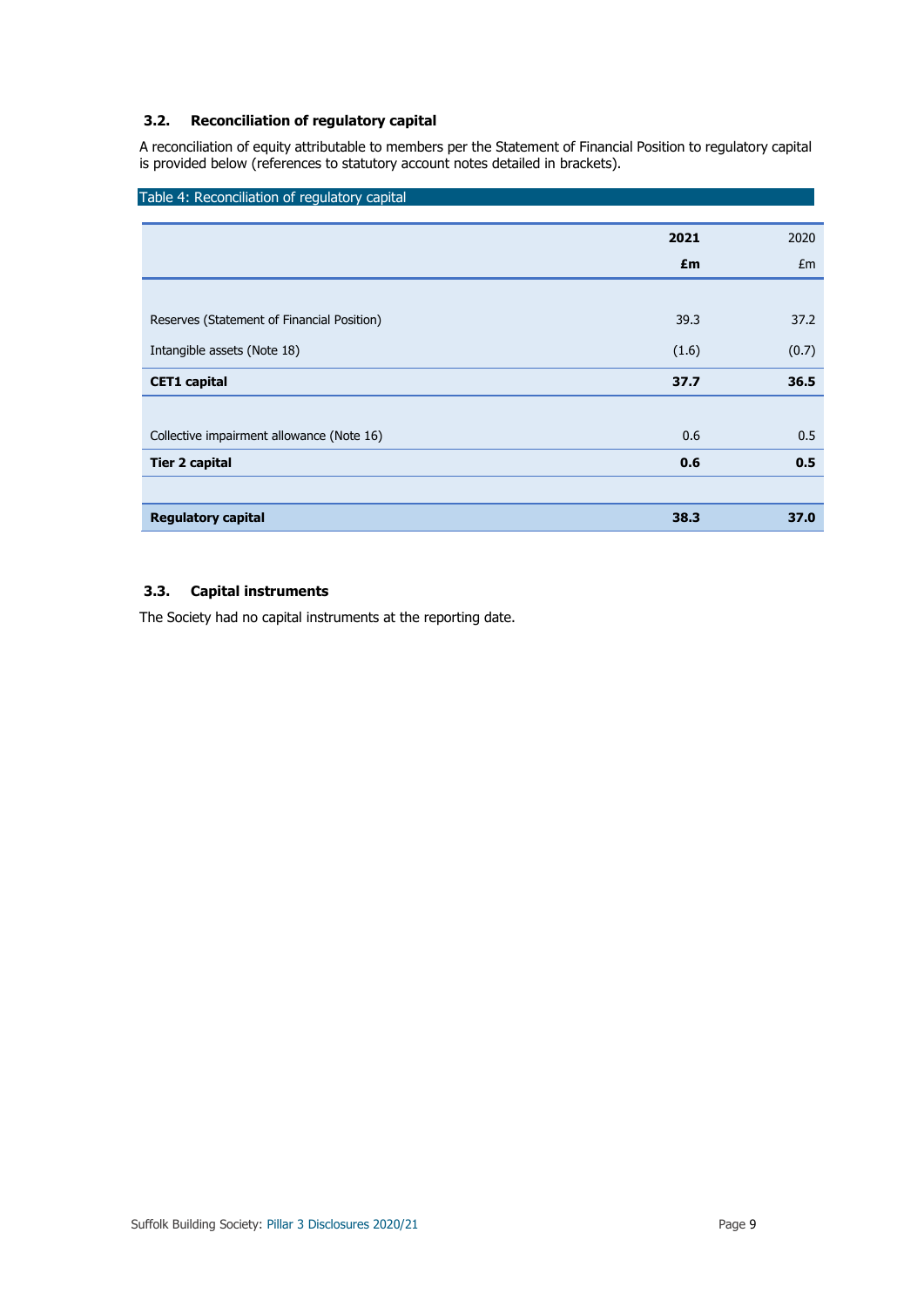## **3.2. Reconciliation of regulatory capital**

A reconciliation of equity attributable to members per the Statement of Financial Position to regulatory capital is provided below (references to statutory account notes detailed in brackets).

| 2021  | 2020  |
|-------|-------|
| £m    | Em    |
|       |       |
| 39.3  | 37.2  |
| (1.6) | (0.7) |
| 37.7  | 36.5  |
|       |       |
| 0.6   | 0.5   |
| 0.6   | 0.5   |
|       |       |
| 38.3  | 37.0  |
|       |       |

## **3.3. Capital instruments**

The Society had no capital instruments at the reporting date.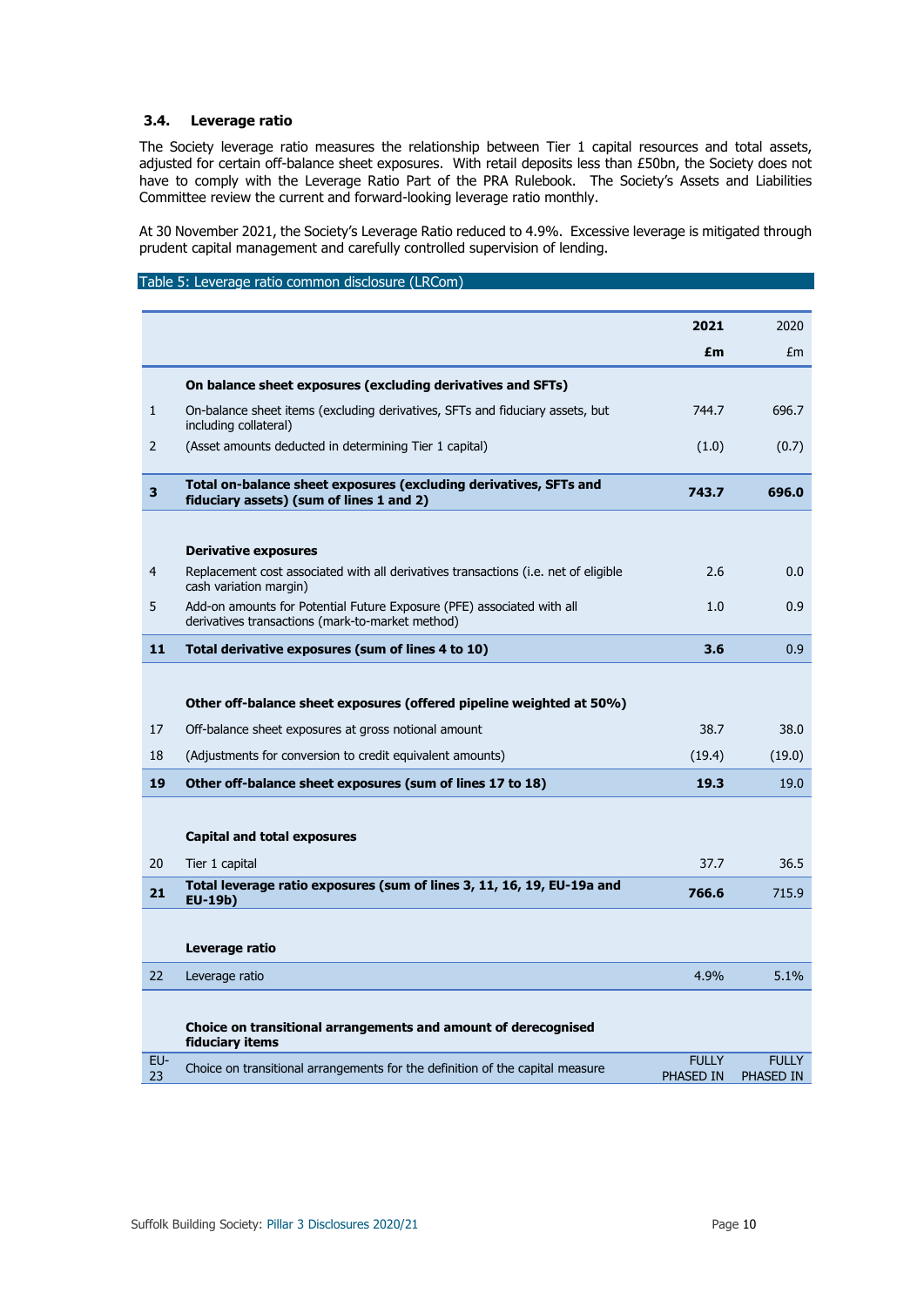## **3.4. Leverage ratio**

The Society leverage ratio measures the relationship between Tier 1 capital resources and total assets, adjusted for certain off-balance sheet exposures. With retail deposits less than £50bn, the Society does not have to comply with the Leverage Ratio Part of the PRA Rulebook. The Society's Assets and Liabilities Committee review the current and forward-looking leverage ratio monthly.

At 30 November 2021, the Society's Leverage Ratio reduced to 4.9%. Excessive leverage is mitigated through prudent capital management and carefully controlled supervision of lending.

### Table 5: Leverage ratio common disclosure (LRCom)

|           |                                                                                                                            | 2021                      | 2020                             |
|-----------|----------------------------------------------------------------------------------------------------------------------------|---------------------------|----------------------------------|
|           |                                                                                                                            | £m                        | Em                               |
|           | On balance sheet exposures (excluding derivatives and SFTs)                                                                |                           |                                  |
| 1         | On-balance sheet items (excluding derivatives, SFTs and fiduciary assets, but<br>including collateral)                     | 744.7                     | 696.7                            |
| 2         | (Asset amounts deducted in determining Tier 1 capital)                                                                     | (1.0)                     | (0.7)                            |
| 3         | Total on-balance sheet exposures (excluding derivatives, SFTs and<br>fiduciary assets) (sum of lines 1 and 2)              | 743.7                     | 696.0                            |
|           |                                                                                                                            |                           |                                  |
|           | <b>Derivative exposures</b>                                                                                                |                           |                                  |
| 4         | Replacement cost associated with all derivatives transactions (i.e. net of eligible<br>cash variation margin)              | 2.6                       | 0.0                              |
| 5         | Add-on amounts for Potential Future Exposure (PFE) associated with all<br>derivatives transactions (mark-to-market method) | 1.0                       | 0.9                              |
| 11        | Total derivative exposures (sum of lines 4 to 10)                                                                          | 3.6                       | 0.9                              |
|           |                                                                                                                            |                           |                                  |
|           | Other off-balance sheet exposures (offered pipeline weighted at 50%)                                                       |                           |                                  |
| 17        | Off-balance sheet exposures at gross notional amount                                                                       | 38.7                      | 38.0                             |
| 18        | (Adjustments for conversion to credit equivalent amounts)                                                                  | (19.4)                    | (19.0)                           |
| 19        | Other off-balance sheet exposures (sum of lines 17 to 18)                                                                  | 19.3                      | 19.0                             |
|           |                                                                                                                            |                           |                                  |
|           | <b>Capital and total exposures</b>                                                                                         |                           |                                  |
| 20        | Tier 1 capital                                                                                                             | 37.7                      | 36.5                             |
| 21        | Total leverage ratio exposures (sum of lines 3, 11, 16, 19, EU-19a and<br>EU-19b)                                          | 766.6                     | 715.9                            |
|           |                                                                                                                            |                           |                                  |
|           | Leverage ratio                                                                                                             |                           |                                  |
| 22        | Leverage ratio                                                                                                             | 4.9%                      | 5.1%                             |
|           |                                                                                                                            |                           |                                  |
|           | Choice on transitional arrangements and amount of derecognised<br>fiduciary items                                          |                           |                                  |
| EU-<br>23 | Choice on transitional arrangements for the definition of the capital measure                                              | <b>FULLY</b><br>PHASED IN | <b>FULLY</b><br><b>PHASED IN</b> |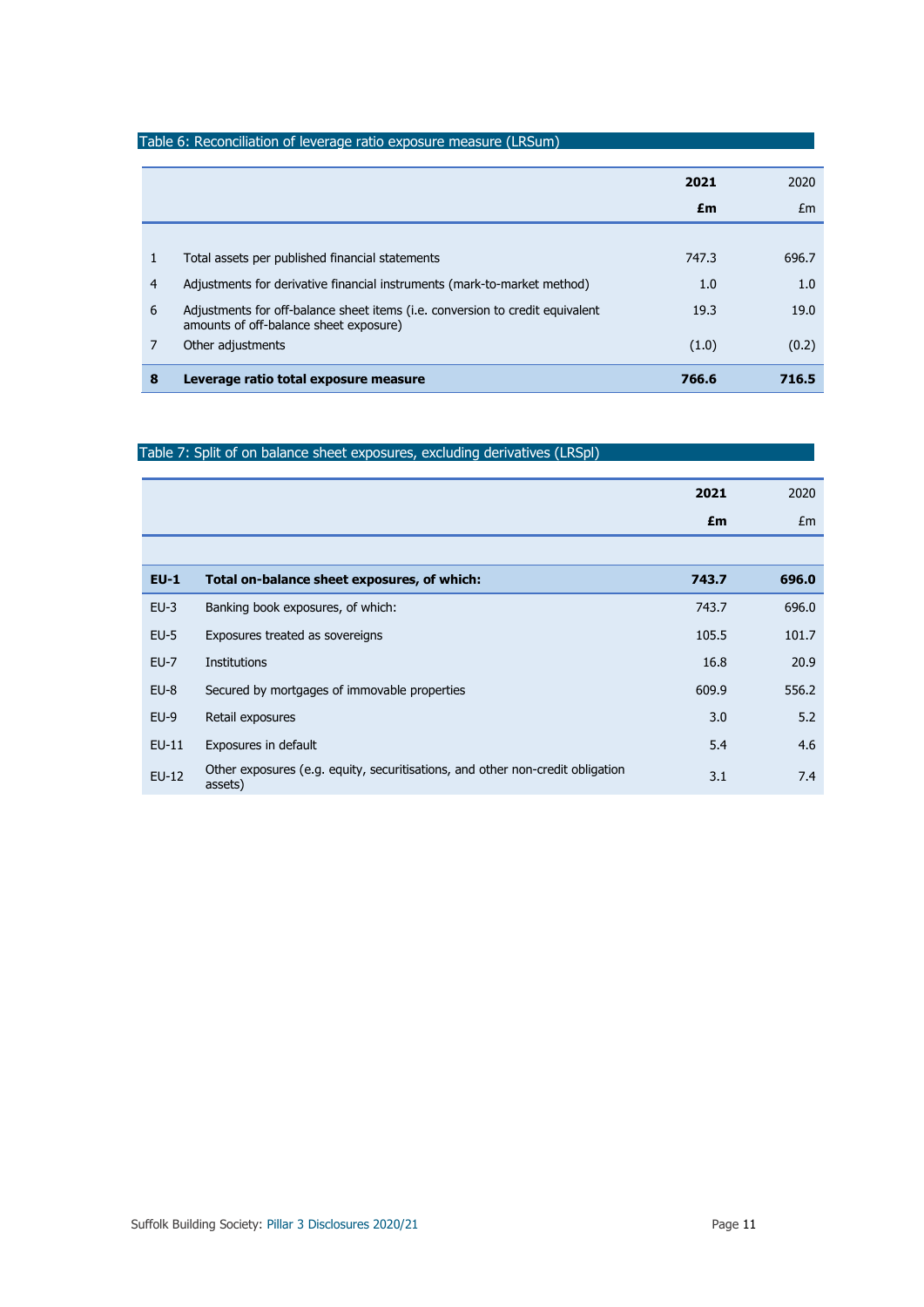|                |                                                                                                                         | 2021<br>£m | 2020<br>Em |
|----------------|-------------------------------------------------------------------------------------------------------------------------|------------|------------|
|                |                                                                                                                         |            |            |
| $\mathbf{1}$   | Total assets per published financial statements                                                                         | 747.3      | 696.7      |
| $\overline{4}$ | Adjustments for derivative financial instruments (mark-to-market method)                                                | 1.0        | 1.0        |
| 6              | Adjustments for off-balance sheet items (i.e. conversion to credit equivalent<br>amounts of off-balance sheet exposure) | 19.3       | 19.0       |
| 7              | Other adjustments                                                                                                       | (1.0)      | (0.2)      |
| 8              | Leverage ratio total exposure measure                                                                                   | 766.6      | 716.5      |

## Table 7: Split of on balance sheet exposures, excluding derivatives (LRSpl)

|         |                                                                                           | 2021  | 2020  |
|---------|-------------------------------------------------------------------------------------------|-------|-------|
|         |                                                                                           | £m    | Em    |
|         |                                                                                           |       |       |
| $EU-1$  | Total on-balance sheet exposures, of which:                                               | 743.7 | 696.0 |
| $EU-3$  | Banking book exposures, of which:                                                         | 743.7 | 696.0 |
| $EU-5$  | Exposures treated as sovereigns                                                           | 105.5 | 101.7 |
| $EU-7$  | Institutions                                                                              | 16.8  | 20.9  |
| $EU-8$  | Secured by mortgages of immovable properties                                              | 609.9 | 556.2 |
| $EU-9$  | Retail exposures                                                                          | 3.0   | 5.2   |
| $EU-11$ | Exposures in default                                                                      | 5.4   | 4.6   |
| $EU-12$ | Other exposures (e.g. equity, securitisations, and other non-credit obligation<br>assets) | 3.1   | 7.4   |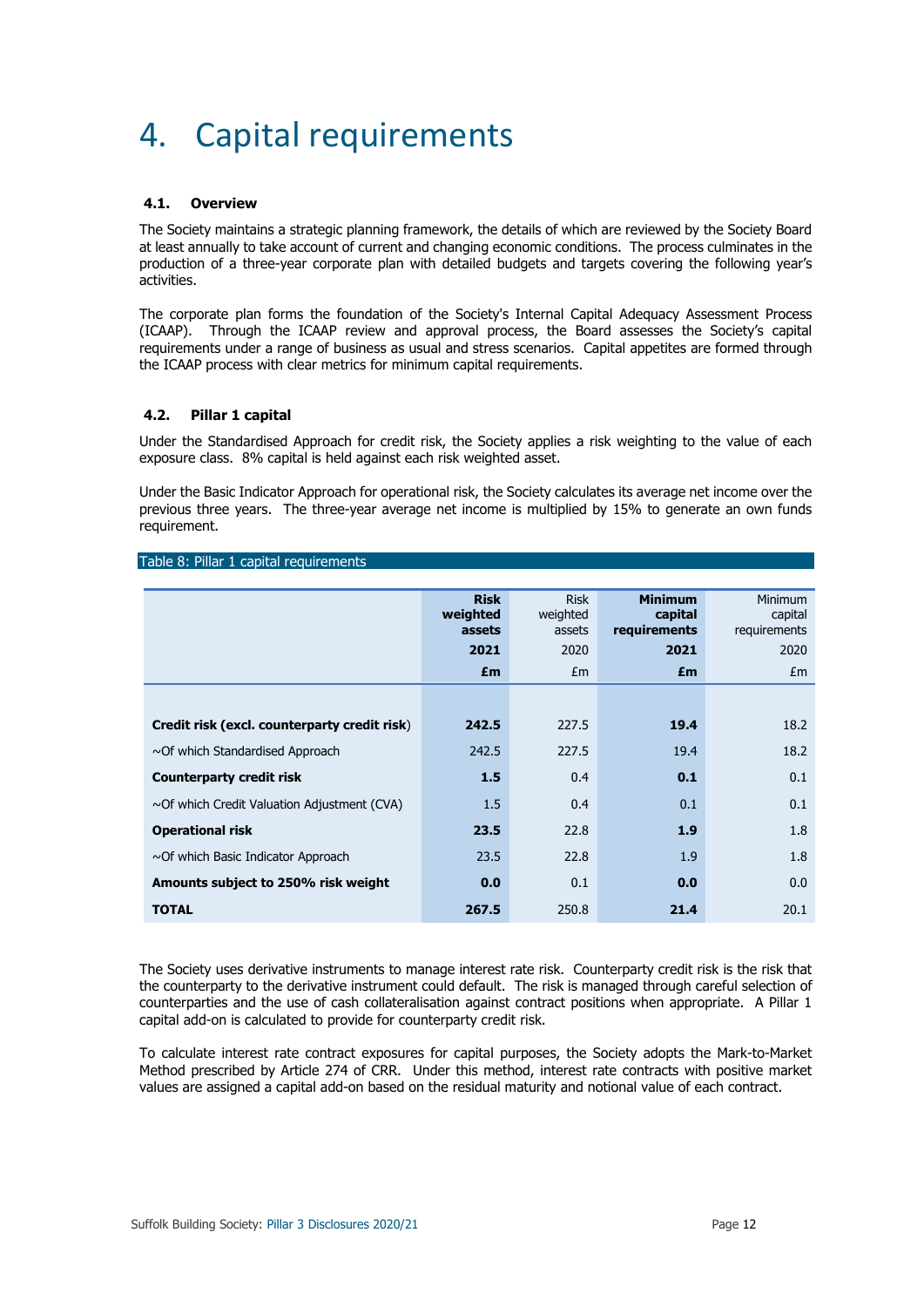## 4. Capital requirements

### **4.1. Overview**

The Society maintains a strategic planning framework, the details of which are reviewed by the Society Board at least annually to take account of current and changing economic conditions. The process culminates in the production of a three-year corporate plan with detailed budgets and targets covering the following year's activities.

The corporate plan forms the foundation of the Society's Internal Capital Adequacy Assessment Process (ICAAP). Through the ICAAP review and approval process, the Board assesses the Society's capital requirements under a range of business as usual and stress scenarios. Capital appetites are formed through the ICAAP process with clear metrics for minimum capital requirements.

### **4.2. Pillar 1 capital**

Under the Standardised Approach for credit risk, the Society applies a risk weighting to the value of each exposure class. 8% capital is held against each risk weighted asset.

Under the Basic Indicator Approach for operational risk, the Society calculates its average net income over the previous three years. The three-year average net income is multiplied by 15% to generate an own funds requirement.

|  |  |  |  | Table 8: Pillar 1 capital requirements |
|--|--|--|--|----------------------------------------|
|--|--|--|--|----------------------------------------|

|                                                   | <b>Risk</b><br>weighted<br>assets<br>2021 | <b>Risk</b><br>weighted<br>assets<br>2020 | <b>Minimum</b><br>capital<br>requirements<br>2021 | Minimum<br>capital<br>requirements<br>2020 |
|---------------------------------------------------|-------------------------------------------|-------------------------------------------|---------------------------------------------------|--------------------------------------------|
|                                                   | £m                                        | Em                                        | £m                                                | Em                                         |
|                                                   |                                           |                                           |                                                   |                                            |
| Credit risk (excl. counterparty credit risk)      | 242.5                                     | 227.5                                     | 19.4                                              | 18.2                                       |
| $\sim$ Of which Standardised Approach             | 242.5                                     | 227.5                                     | 19.4                                              | 18.2                                       |
| <b>Counterparty credit risk</b>                   | 1.5                                       | 0.4                                       | 0.1                                               | 0.1                                        |
| $\sim$ Of which Credit Valuation Adjustment (CVA) | 1.5                                       | 0.4                                       | 0.1                                               | 0.1                                        |
| <b>Operational risk</b>                           | 23.5                                      | 22.8                                      | 1.9                                               | 1.8                                        |
| $\sim$ Of which Basic Indicator Approach          | 23.5                                      | 22.8                                      | 1.9                                               | 1.8                                        |
| Amounts subject to 250% risk weight               | 0.0                                       | 0.1                                       | 0.0                                               | 0.0                                        |
| <b>TOTAL</b>                                      | 267.5                                     | 250.8                                     | 21.4                                              | 20.1                                       |

The Society uses derivative instruments to manage interest rate risk. Counterparty credit risk is the risk that the counterparty to the derivative instrument could default. The risk is managed through careful selection of counterparties and the use of cash collateralisation against contract positions when appropriate. A Pillar 1 capital add-on is calculated to provide for counterparty credit risk.

To calculate interest rate contract exposures for capital purposes, the Society adopts the Mark-to-Market Method prescribed by Article 274 of CRR. Under this method, interest rate contracts with positive market values are assigned a capital add-on based on the residual maturity and notional value of each contract.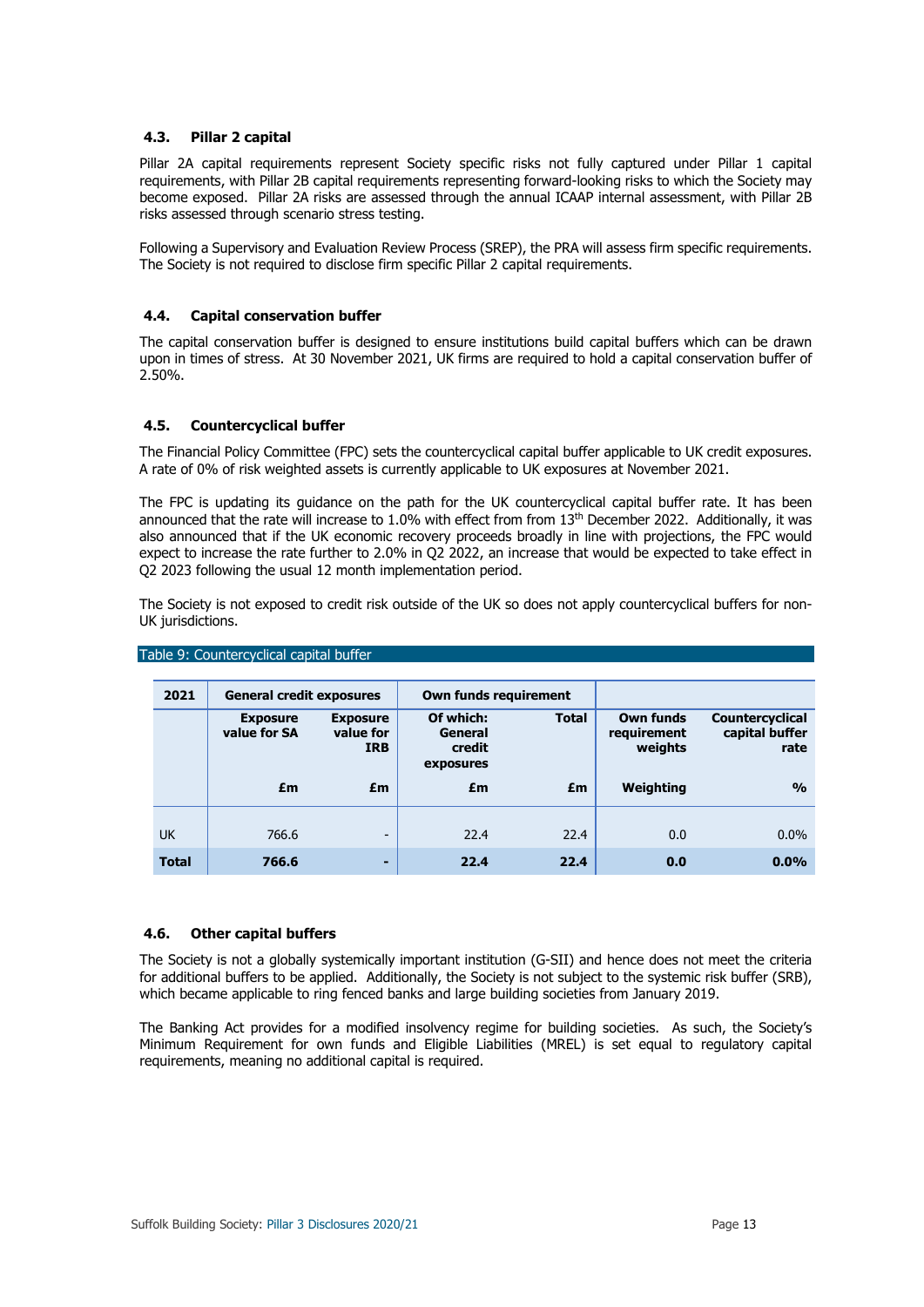### **4.3. Pillar 2 capital**

Pillar 2A capital requirements represent Society specific risks not fully captured under Pillar 1 capital requirements, with Pillar 2B capital requirements representing forward-looking risks to which the Society may become exposed. Pillar 2A risks are assessed through the annual ICAAP internal assessment, with Pillar 2B risks assessed through scenario stress testing.

Following a Supervisory and Evaluation Review Process (SREP), the PRA will assess firm specific requirements. The Society is not required to disclose firm specific Pillar 2 capital requirements.

### **4.4. Capital conservation buffer**

The capital conservation buffer is designed to ensure institutions build capital buffers which can be drawn upon in times of stress. At 30 November 2021, UK firms are required to hold a capital conservation buffer of 2.50%.

## **4.5. Countercyclical buffer**

The Financial Policy Committee (FPC) sets the countercyclical capital buffer applicable to UK credit exposures. A rate of 0% of risk weighted assets is currently applicable to UK exposures at November 2021.

The FPC is updating its guidance on the path for the UK countercyclical capital buffer rate. It has been announced that the rate will increase to 1.0% with effect from from 13<sup>th</sup> December 2022. Additionally, it was also announced that if the UK economic recovery proceeds broadly in line with projections, the FPC would expect to increase the rate further to 2.0% in Q2 2022, an increase that would be expected to take effect in Q2 2023 following the usual 12 month implementation period.

The Society is not exposed to credit risk outside of the UK so does not apply countercyclical buffers for non-UK jurisdictions.

| 2021         | <b>General credit exposures</b> |                                            |                                             | Own funds requirement |                                            |                                                  |
|--------------|---------------------------------|--------------------------------------------|---------------------------------------------|-----------------------|--------------------------------------------|--------------------------------------------------|
|              | <b>Exposure</b><br>value for SA | <b>Exposure</b><br>value for<br><b>IRB</b> | Of which:<br>General<br>credit<br>exposures | <b>Total</b>          | <b>Own funds</b><br>requirement<br>weights | <b>Countercyclical</b><br>capital buffer<br>rate |
|              | £m                              | £m                                         | £m                                          | £m                    | Weighting                                  | $\frac{0}{0}$                                    |
| <b>UK</b>    | 766.6                           | $\overline{\phantom{a}}$                   | 22.4                                        | 22.4                  | 0.0                                        | $0.0\%$                                          |
| <b>Total</b> | 766.6                           | ٠                                          | 22.4                                        | 22.4                  | 0.0                                        | 0.0%                                             |

## Table 9: Countercyclical capital buffer

#### **4.6. Other capital buffers**

The Society is not a globally systemically important institution (G-SII) and hence does not meet the criteria for additional buffers to be applied. Additionally, the Society is not subject to the systemic risk buffer (SRB), which became applicable to ring fenced banks and large building societies from January 2019.

The Banking Act provides for a modified insolvency regime for building societies. As such, the Society's Minimum Requirement for own funds and Eligible Liabilities (MREL) is set equal to regulatory capital requirements, meaning no additional capital is required.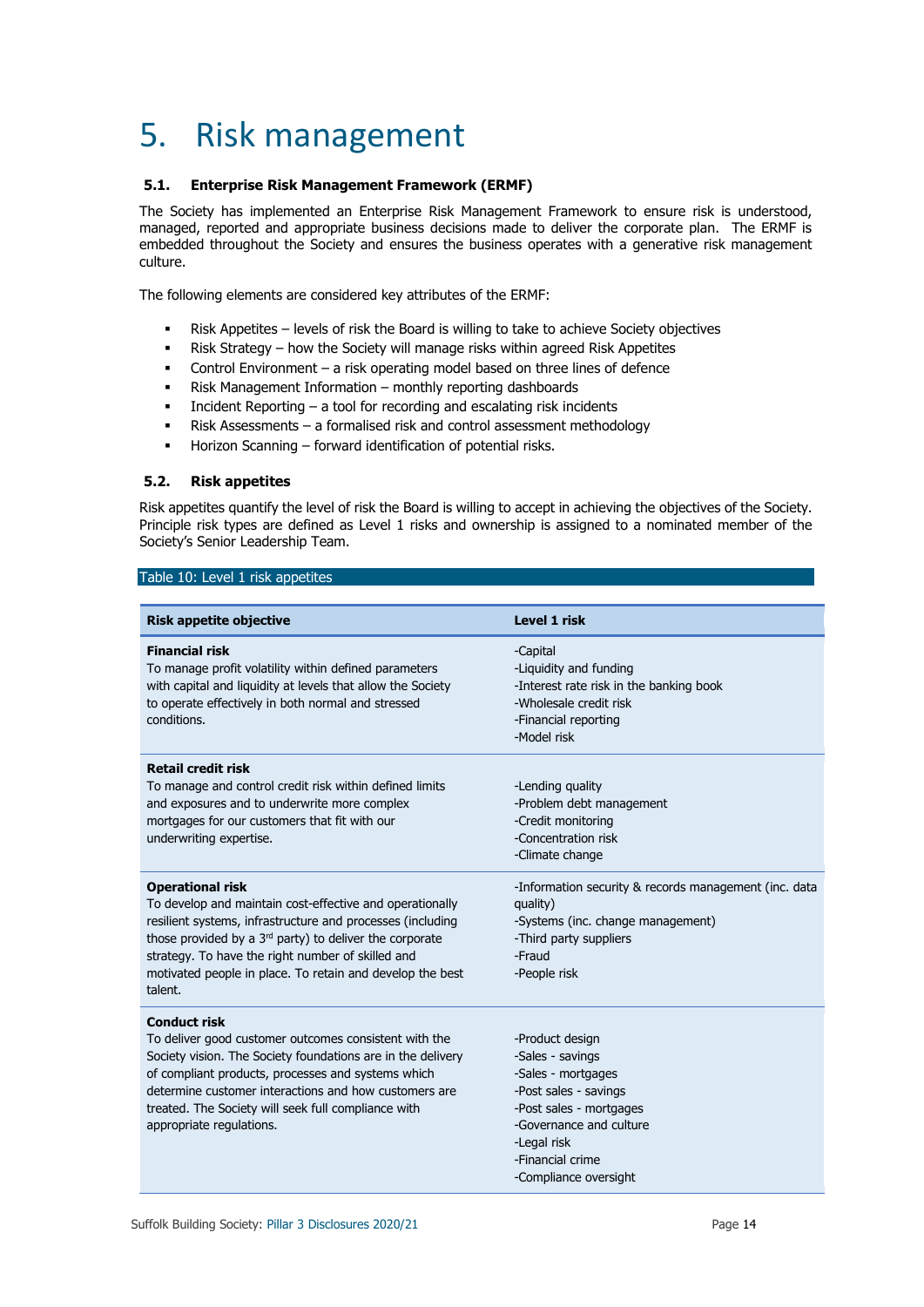## 5. Risk management

## **5.1. Enterprise Risk Management Framework (ERMF)**

The Society has implemented an Enterprise Risk Management Framework to ensure risk is understood, managed, reported and appropriate business decisions made to deliver the corporate plan. The ERMF is embedded throughout the Society and ensures the business operates with a generative risk management culture.

The following elements are considered key attributes of the ERMF:

- Risk Appetites levels of risk the Board is willing to take to achieve Society objectives
- Risk Strategy how the Society will manage risks within agreed Risk Appetites
- Control Environment a risk operating model based on three lines of defence
- Risk Management Information monthly reporting dashboards
- Incident Reporting a tool for recording and escalating risk incidents
- Risk Assessments a formalised risk and control assessment methodology
- Horizon Scanning forward identification of potential risks.

### **5.2. Risk appetites**

Risk appetites quantify the level of risk the Board is willing to accept in achieving the objectives of the Society. Principle risk types are defined as Level 1 risks and ownership is assigned to a nominated member of the Society's Senior Leadership Team.

#### Table 10: Level 1 risk appetites

| <b>Risk appetite objective</b>                                                                                                                                                                                                                                                                                                                | <b>Level 1 risk</b>                                                                                                                                                                                  |
|-----------------------------------------------------------------------------------------------------------------------------------------------------------------------------------------------------------------------------------------------------------------------------------------------------------------------------------------------|------------------------------------------------------------------------------------------------------------------------------------------------------------------------------------------------------|
| <b>Financial risk</b><br>To manage profit volatility within defined parameters<br>with capital and liquidity at levels that allow the Society<br>to operate effectively in both normal and stressed<br>conditions.                                                                                                                            | -Capital<br>-Liquidity and funding<br>-Interest rate risk in the banking book<br>-Wholesale credit risk<br>-Financial reporting<br>-Model risk                                                       |
| <b>Retail credit risk</b><br>To manage and control credit risk within defined limits<br>and exposures and to underwrite more complex<br>mortgages for our customers that fit with our<br>underwriting expertise.                                                                                                                              | -Lending quality<br>-Problem debt management<br>-Credit monitoring<br>-Concentration risk<br>-Climate change                                                                                         |
| <b>Operational risk</b><br>To develop and maintain cost-effective and operationally<br>resilient systems, infrastructure and processes (including<br>those provided by a $3rd$ party) to deliver the corporate<br>strategy. To have the right number of skilled and<br>motivated people in place. To retain and develop the best<br>talent.   | -Information security & records management (inc. data<br>quality)<br>-Systems (inc. change management)<br>-Third party suppliers<br>-Fraud<br>-People risk                                           |
| <b>Conduct risk</b><br>To deliver good customer outcomes consistent with the<br>Society vision. The Society foundations are in the delivery<br>of compliant products, processes and systems which<br>determine customer interactions and how customers are<br>treated. The Society will seek full compliance with<br>appropriate regulations. | -Product design<br>-Sales - savings<br>-Sales - mortgages<br>-Post sales - savings<br>-Post sales - mortgages<br>-Governance and culture<br>-Legal risk<br>-Financial crime<br>-Compliance oversight |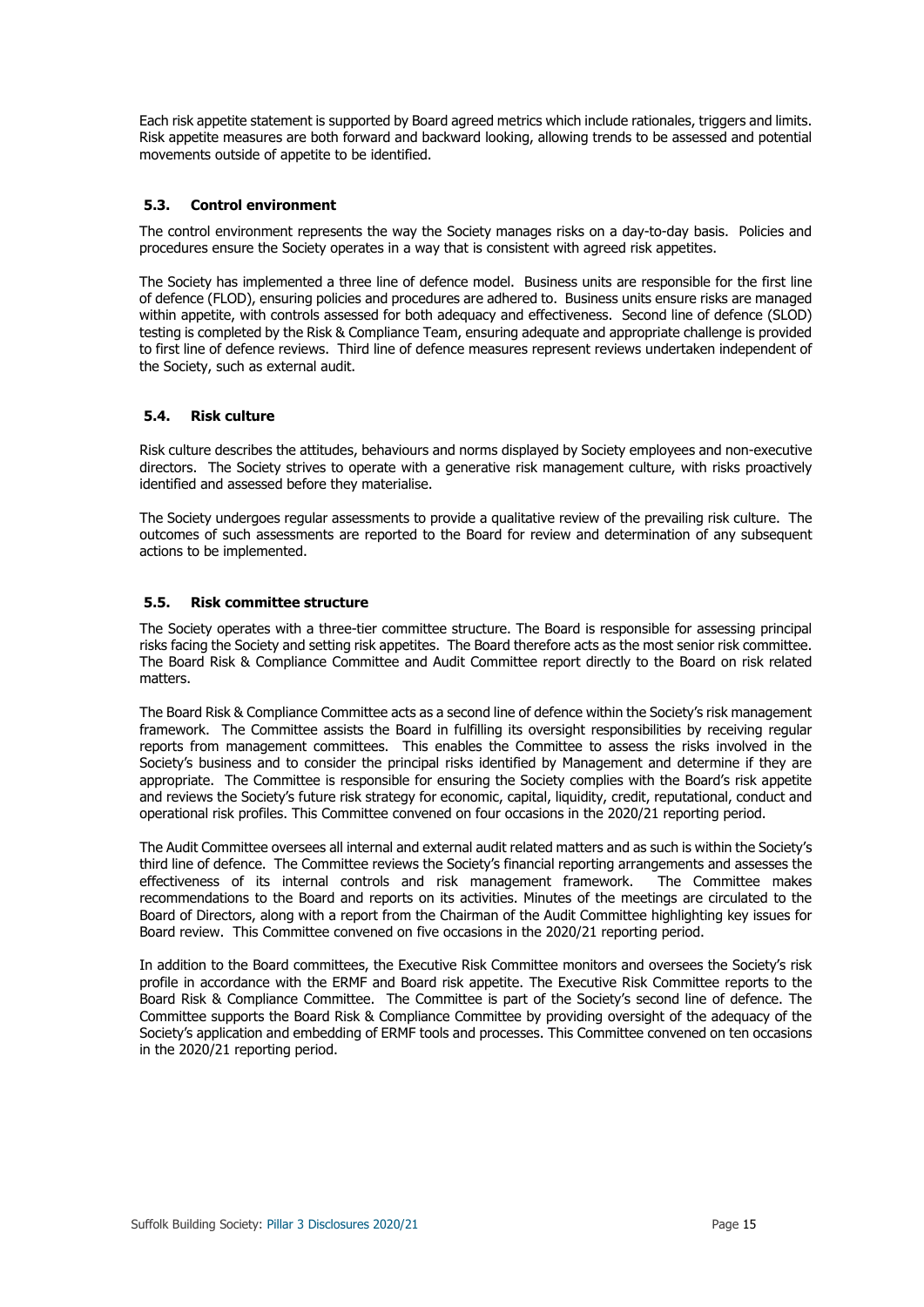Each risk appetite statement is supported by Board agreed metrics which include rationales, triggers and limits. Risk appetite measures are both forward and backward looking, allowing trends to be assessed and potential movements outside of appetite to be identified.

## **5.3. Control environment**

The control environment represents the way the Society manages risks on a day-to-day basis. Policies and procedures ensure the Society operates in a way that is consistent with agreed risk appetites.

The Society has implemented a three line of defence model. Business units are responsible for the first line of defence (FLOD), ensuring policies and procedures are adhered to. Business units ensure risks are managed within appetite, with controls assessed for both adequacy and effectiveness. Second line of defence (SLOD) testing is completed by the Risk & Compliance Team, ensuring adequate and appropriate challenge is provided to first line of defence reviews. Third line of defence measures represent reviews undertaken independent of the Society, such as external audit.

## **5.4. Risk culture**

Risk culture describes the attitudes, behaviours and norms displayed by Society employees and non-executive directors. The Society strives to operate with a generative risk management culture, with risks proactively identified and assessed before they materialise.

The Society undergoes regular assessments to provide a qualitative review of the prevailing risk culture. The outcomes of such assessments are reported to the Board for review and determination of any subsequent actions to be implemented.

## **5.5. Risk committee structure**

The Society operates with a three-tier committee structure. The Board is responsible for assessing principal risks facing the Society and setting risk appetites. The Board therefore acts as the most senior risk committee. The Board Risk & Compliance Committee and Audit Committee report directly to the Board on risk related matters.

The Board Risk & Compliance Committee acts as a second line of defence within the Society's risk management framework. The Committee assists the Board in fulfilling its oversight responsibilities by receiving regular reports from management committees. This enables the Committee to assess the risks involved in the Society's business and to consider the principal risks identified by Management and determine if they are appropriate. The Committee is responsible for ensuring the Society complies with the Board's risk appetite and reviews the Society's future risk strategy for economic, capital, liquidity, credit, reputational, conduct and operational risk profiles. This Committee convened on four occasions in the 2020/21 reporting period.

The Audit Committee oversees all internal and external audit related matters and as such is within the Society's third line of defence. The Committee reviews the Society's financial reporting arrangements and assesses the effectiveness of its internal controls and risk management framework. The Committee makes effectiveness of its internal controls and risk management framework. recommendations to the Board and reports on its activities. Minutes of the meetings are circulated to the Board of Directors, along with a report from the Chairman of the Audit Committee highlighting key issues for Board review. This Committee convened on five occasions in the 2020/21 reporting period.

In addition to the Board committees, the Executive Risk Committee monitors and oversees the Society's risk profile in accordance with the ERMF and Board risk appetite. The Executive Risk Committee reports to the Board Risk & Compliance Committee. The Committee is part of the Society's second line of defence. The Committee supports the Board Risk & Compliance Committee by providing oversight of the adequacy of the Society's application and embedding of ERMF tools and processes. This Committee convened on ten occasions in the 2020/21 reporting period.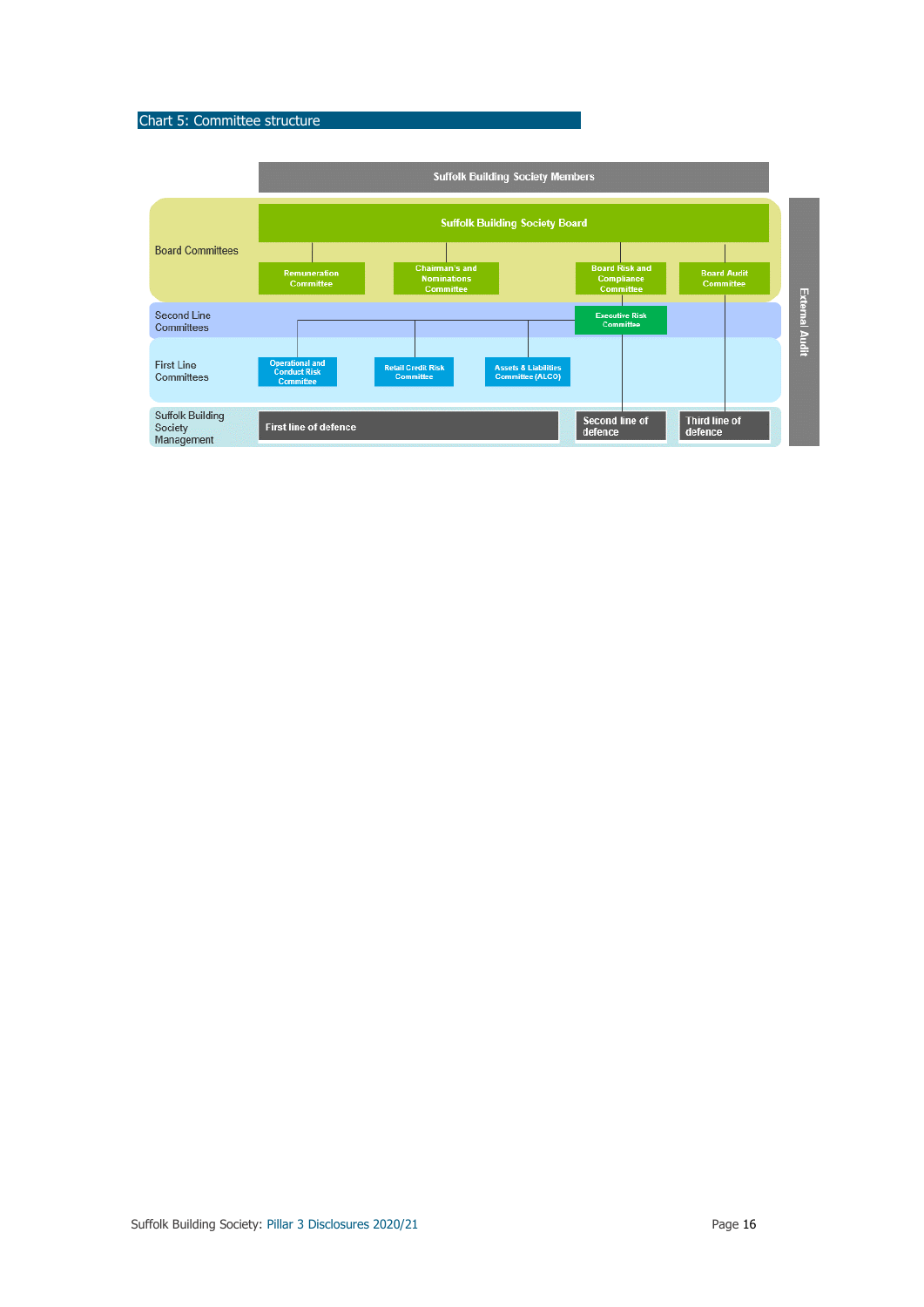## Chart 5: Committee structure

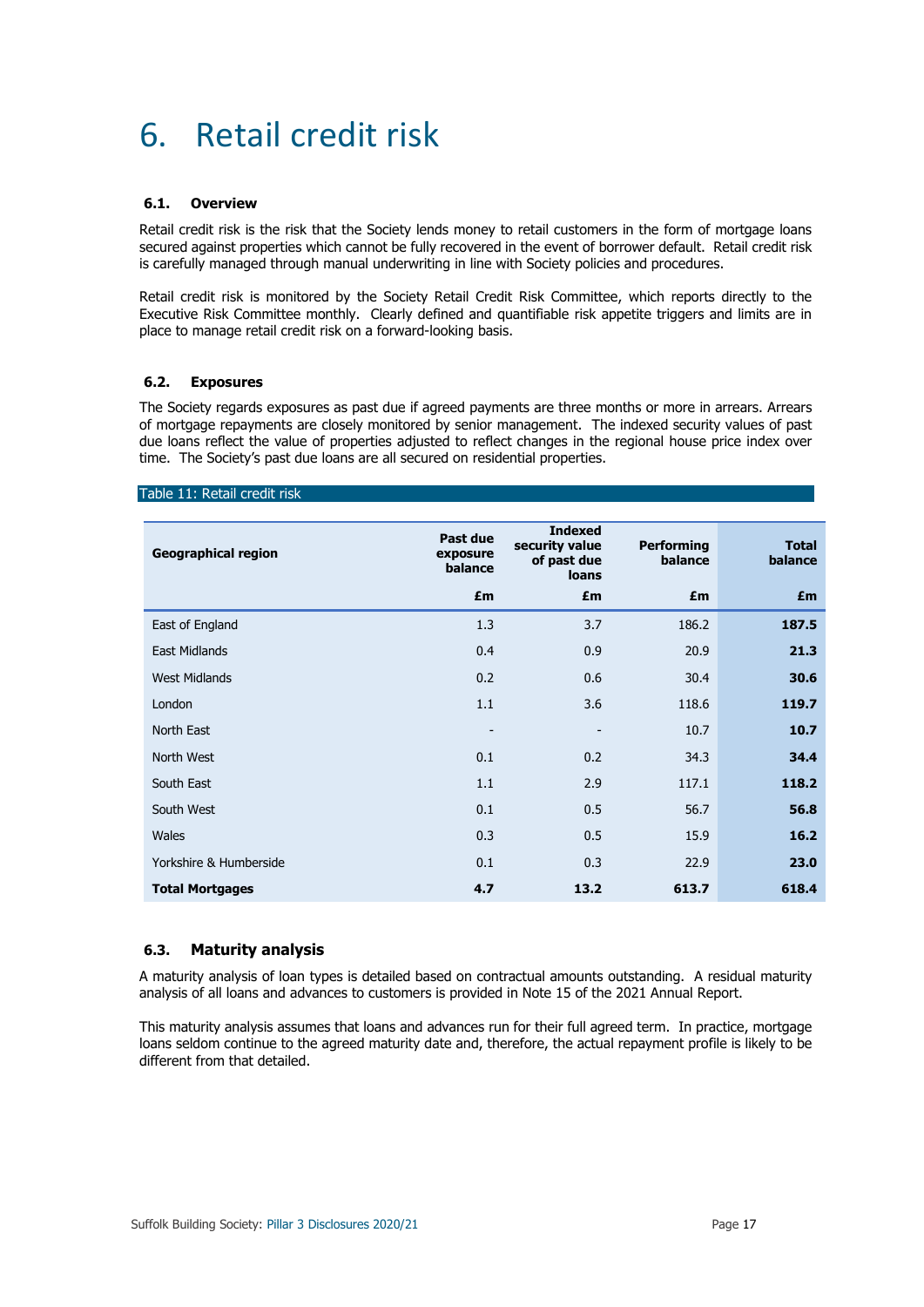## 6. Retail credit risk

### **6.1. Overview**

Retail credit risk is the risk that the Society lends money to retail customers in the form of mortgage loans secured against properties which cannot be fully recovered in the event of borrower default. Retail credit risk is carefully managed through manual underwriting in line with Society policies and procedures.

Retail credit risk is monitored by the Society Retail Credit Risk Committee, which reports directly to the Executive Risk Committee monthly. Clearly defined and quantifiable risk appetite triggers and limits are in place to manage retail credit risk on a forward-looking basis.

## **6.2. Exposures**

The Society regards exposures as past due if agreed payments are three months or more in arrears. Arrears of mortgage repayments are closely monitored by senior management. The indexed security values of past due loans reflect the value of properties adjusted to reflect changes in the regional house price index over time. The Society's past due loans are all secured on residential properties.

### Table 11: Retail credit risk

| <b>Geographical region</b> | Past due<br>exposure<br>balance | <b>Indexed</b><br>security value<br>of past due<br><b>loans</b> | <b>Performing</b><br>balance | <b>Total</b><br>balance |
|----------------------------|---------------------------------|-----------------------------------------------------------------|------------------------------|-------------------------|
|                            | £m                              | £m                                                              | £m                           | £m                      |
| East of England            | 1.3                             | 3.7                                                             | 186.2                        | 187.5                   |
| <b>East Midlands</b>       | 0.4                             | 0.9                                                             | 20.9                         | 21.3                    |
| <b>West Midlands</b>       | 0.2                             | 0.6                                                             | 30.4                         | 30.6                    |
| London                     | 1.1                             | 3.6                                                             | 118.6                        | 119.7                   |
| North East                 | $\overline{\phantom{a}}$        | -                                                               | 10.7                         | 10.7                    |
| North West                 | 0.1                             | 0.2                                                             | 34.3                         | 34.4                    |
| South East                 | 1.1                             | 2.9                                                             | 117.1                        | 118.2                   |
| South West                 | 0.1                             | 0.5                                                             | 56.7                         | 56.8                    |
| Wales                      | 0.3                             | 0.5                                                             | 15.9                         | 16.2                    |
| Yorkshire & Humberside     | 0.1                             | 0.3                                                             | 22.9                         | 23.0                    |
| <b>Total Mortgages</b>     | 4.7                             | 13.2                                                            | 613.7                        | 618.4                   |

## **6.3. Maturity analysis**

A maturity analysis of loan types is detailed based on contractual amounts outstanding. A residual maturity analysis of all loans and advances to customers is provided in Note 15 of the 2021 Annual Report.

This maturity analysis assumes that loans and advances run for their full agreed term. In practice, mortgage loans seldom continue to the agreed maturity date and, therefore, the actual repayment profile is likely to be different from that detailed.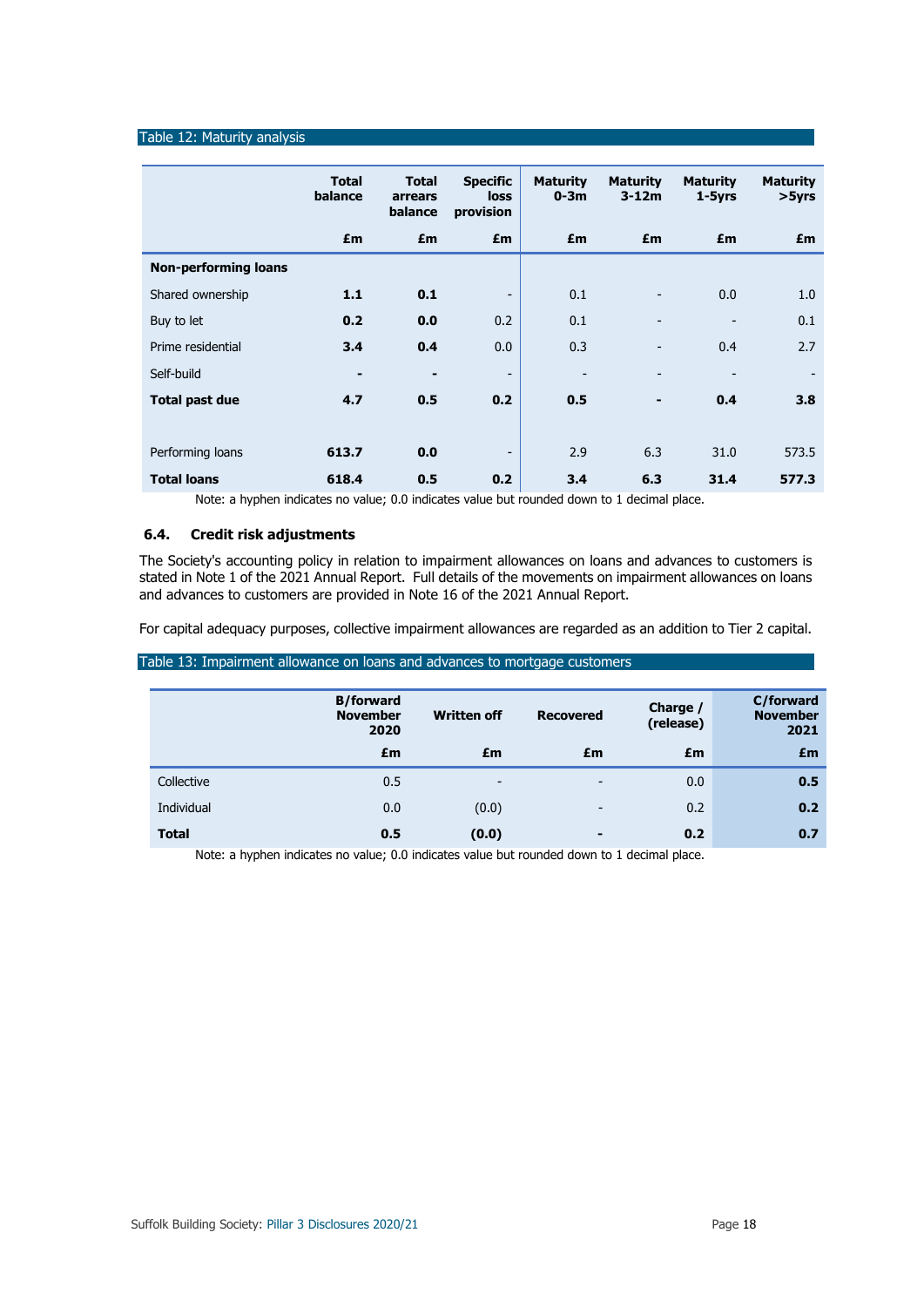## Table 12: Maturity analysis

|                             | <b>Total</b><br>balance | <b>Total</b><br>arrears<br>balance | <b>Specific</b><br><b>loss</b><br>provision | <b>Maturity</b><br>$0-3m$ | <b>Maturity</b><br>$3-12m$ | <b>Maturity</b><br>$1-5yrs$ | <b>Maturity</b><br>>5yrs |
|-----------------------------|-------------------------|------------------------------------|---------------------------------------------|---------------------------|----------------------------|-----------------------------|--------------------------|
|                             | £m                      | £m                                 | £m                                          | £m                        | £m                         | £m                          | £m                       |
| <b>Non-performing loans</b> |                         |                                    |                                             |                           |                            |                             |                          |
| Shared ownership            | 1.1                     | 0.1                                | $\overline{\phantom{a}}$                    | 0.1                       |                            | 0.0                         | 1.0                      |
| Buy to let                  | 0.2                     | 0.0                                | 0.2                                         | 0.1                       |                            |                             | 0.1                      |
| Prime residential           | 3.4                     | 0.4                                | 0.0                                         | 0.3                       |                            | 0.4                         | 2.7                      |
| Self-build                  | $\blacksquare$          | -                                  | $\overline{\phantom{a}}$                    |                           |                            |                             |                          |
| <b>Total past due</b>       | 4.7                     | 0.5                                | 0.2                                         | 0.5                       |                            | 0.4                         | 3.8                      |
|                             |                         |                                    |                                             |                           |                            |                             |                          |
| Performing loans            | 613.7                   | 0.0                                | $\overline{\phantom{0}}$                    | 2.9                       | 6.3                        | 31.0                        | 573.5                    |
| <b>Total loans</b>          | 618.4                   | 0.5                                | 0.2                                         | 3.4                       | 6.3                        | 31.4                        | 577.3                    |

Note: a hyphen indicates no value; 0.0 indicates value but rounded down to 1 decimal place.

## **6.4. Credit risk adjustments**

The Society's accounting policy in relation to impairment allowances on loans and advances to customers is stated in Note 1 of the 2021 Annual Report. Full details of the movements on impairment allowances on loans and advances to customers are provided in Note 16 of the 2021 Annual Report.

For capital adequacy purposes, collective impairment allowances are regarded as an addition to Tier 2 capital.

| Table 13: Impairment allowance on loans and advances to mortgage customers |                                             |                          |                          |                       |                                      |  |  |
|----------------------------------------------------------------------------|---------------------------------------------|--------------------------|--------------------------|-----------------------|--------------------------------------|--|--|
|                                                                            | <b>B/forward</b><br><b>November</b><br>2020 | <b>Written off</b>       | Recovered                | Charge /<br>(release) | C/forward<br><b>November</b><br>2021 |  |  |
|                                                                            | £m                                          | £m                       | £m                       | £m                    | £m                                   |  |  |
| Collective                                                                 | 0.5                                         | $\overline{\phantom{0}}$ | $\overline{\phantom{a}}$ | 0.0                   | 0.5                                  |  |  |
| Individual                                                                 | 0.0                                         | (0.0)                    | $\overline{\phantom{a}}$ | 0.2                   | 0.2                                  |  |  |
| <b>Total</b>                                                               | 0.5                                         | (0.0)                    | $\blacksquare$           | 0.2                   | 0.7                                  |  |  |

Note: a hyphen indicates no value; 0.0 indicates value but rounded down to 1 decimal place.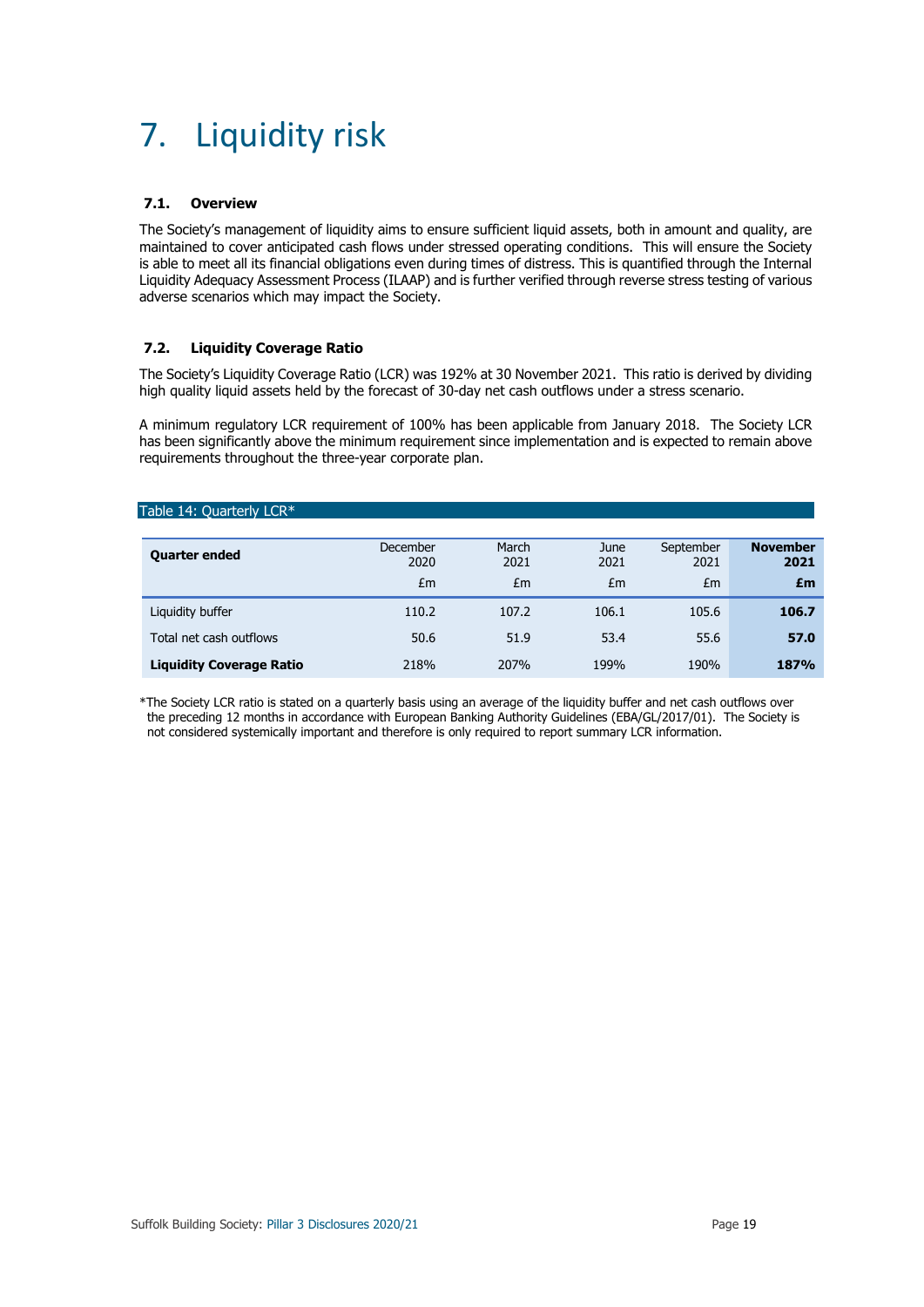## 7. Liquidity risk

## **7.1. Overview**

The Society's management of liquidity aims to ensure sufficient liquid assets, both in amount and quality, are maintained to cover anticipated cash flows under stressed operating conditions. This will ensure the Society is able to meet all its financial obligations even during times of distress. This is quantified through the Internal Liquidity Adequacy Assessment Process (ILAAP) and is further verified through reverse stress testing of various adverse scenarios which may impact the Society.

## **7.2. Liquidity Coverage Ratio**

The Society's Liquidity Coverage Ratio (LCR) was 192% at 30 November 2021. This ratio is derived by dividing high quality liquid assets held by the forecast of 30-day net cash outflows under a stress scenario.

A minimum regulatory LCR requirement of 100% has been applicable from January 2018. The Society LCR has been significantly above the minimum requirement since implementation and is expected to remain above requirements throughout the three-year corporate plan.

### Table 14: Quarterly LCR\*

| <b>Quarter ended</b>            | December<br>2020<br>£m | March<br>2021<br>£m | June<br>2021<br>£m | September<br>2021<br>£m | <b>November</b><br>2021<br>£m |
|---------------------------------|------------------------|---------------------|--------------------|-------------------------|-------------------------------|
| Liquidity buffer                | 110.2                  | 107.2               | 106.1              | 105.6                   | 106.7                         |
| Total net cash outflows         | 50.6                   | 51.9                | 53.4               | 55.6                    | 57.0                          |
| <b>Liquidity Coverage Ratio</b> | 218%                   | 207%                | 199%               | 190%                    | 187%                          |

\*The Society LCR ratio is stated on a quarterly basis using an average of the liquidity buffer and net cash outflows over the preceding 12 months in accordance with European Banking Authority Guidelines (EBA/GL/2017/01). The Society is not considered systemically important and therefore is only required to report summary LCR information.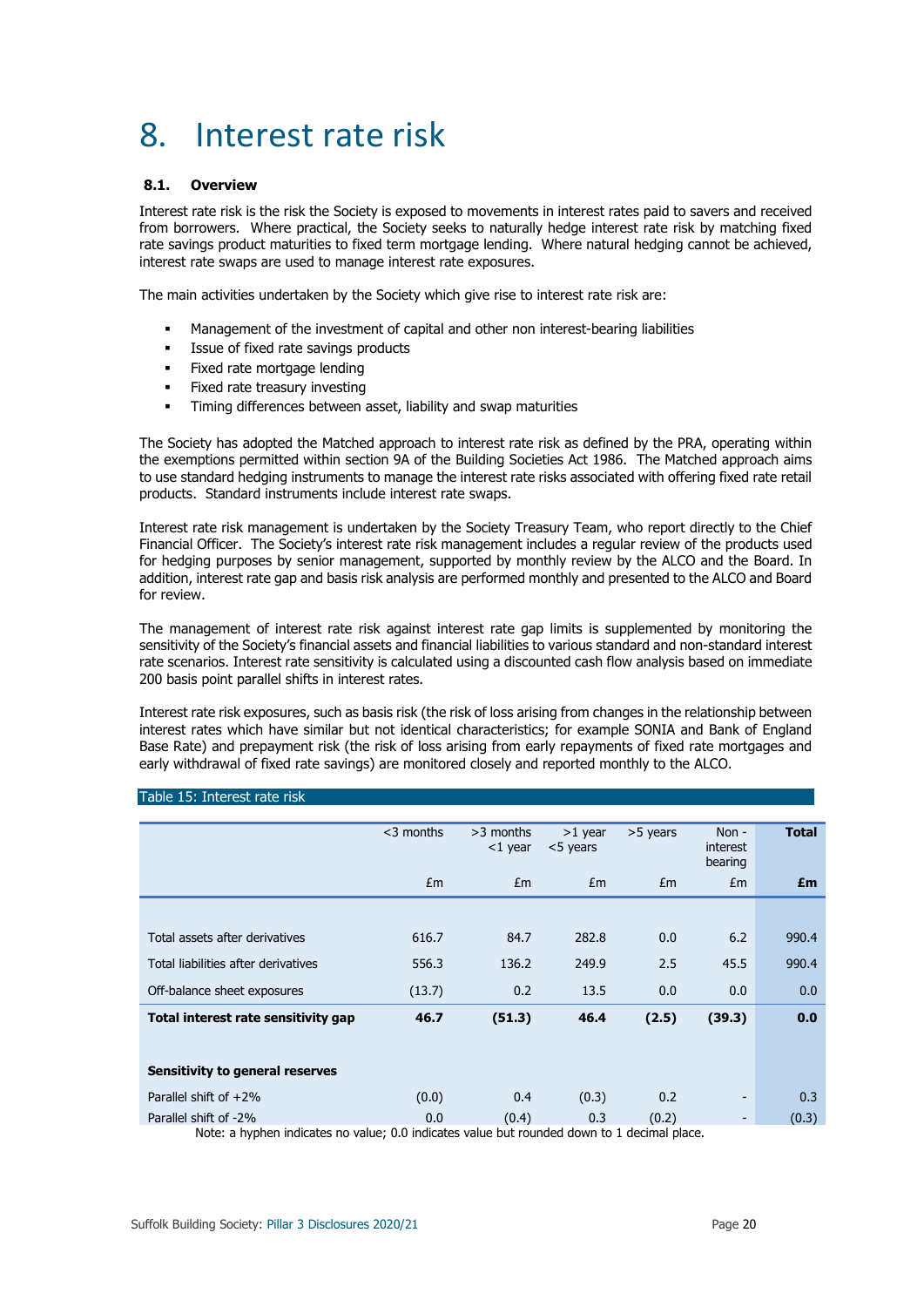## 8. Interest rate risk

### **8.1. Overview**

Interest rate risk is the risk the Society is exposed to movements in interest rates paid to savers and received from borrowers. Where practical, the Society seeks to naturally hedge interest rate risk by matching fixed rate savings product maturities to fixed term mortgage lending. Where natural hedging cannot be achieved, interest rate swaps are used to manage interest rate exposures.

The main activities undertaken by the Society which give rise to interest rate risk are:

- Management of the investment of capital and other non interest-bearing liabilities
- Issue of fixed rate savings products
- Fixed rate mortgage lending
- Fixed rate treasury investing
- Timing differences between asset, liability and swap maturities

The Society has adopted the Matched approach to interest rate risk as defined by the PRA, operating within the exemptions permitted within section 9A of the Building Societies Act 1986. The Matched approach aims to use standard hedging instruments to manage the interest rate risks associated with offering fixed rate retail products. Standard instruments include interest rate swaps.

Interest rate risk management is undertaken by the Society Treasury Team, who report directly to the Chief Financial Officer. The Society's interest rate risk management includes a regular review of the products used for hedging purposes by senior management, supported by monthly review by the ALCO and the Board. In addition, interest rate gap and basis risk analysis are performed monthly and presented to the ALCO and Board for review.

The management of interest rate risk against interest rate gap limits is supplemented by monitoring the sensitivity of the Society's financial assets and financial liabilities to various standard and non-standard interest rate scenarios. Interest rate sensitivity is calculated using a discounted cash flow analysis based on immediate 200 basis point parallel shifts in interest rates.

Interest rate risk exposures, such as basis risk (the risk of loss arising from changes in the relationship between interest rates which have similar but not identical characteristics; for example SONIA and Bank of England Base Rate) and prepayment risk (the risk of loss arising from early repayments of fixed rate mortgages and early withdrawal of fixed rate savings) are monitored closely and reported monthly to the ALCO.

#### Table 15: Interest rate risk

|                                     | $<$ 3 months | $>3$ months<br>$<$ 1 year | $>1$ year<br><5 years | >5 years | Non $-$<br><i>interest</i><br>bearing | <b>Total</b> |
|-------------------------------------|--------------|---------------------------|-----------------------|----------|---------------------------------------|--------------|
|                                     | Em           | Em                        | Em                    | Em       | Em                                    | £m           |
|                                     |              |                           |                       |          |                                       |              |
| Total assets after derivatives      | 616.7        | 84.7                      | 282.8                 | 0.0      | 6.2                                   | 990.4        |
| Total liabilities after derivatives | 556.3        | 136.2                     | 249.9                 | 2.5      | 45.5                                  | 990.4        |
| Off-balance sheet exposures         | (13.7)       | 0.2                       | 13.5                  | 0.0      | 0.0                                   | 0.0          |
| Total interest rate sensitivity gap | 46.7         | (51.3)                    | 46.4                  | (2.5)    | (39.3)                                | 0.0          |
|                                     |              |                           |                       |          |                                       |              |
| Sensitivity to general reserves     |              |                           |                       |          |                                       |              |
| Parallel shift of $+2\%$            | (0.0)        | 0.4                       | (0.3)                 | 0.2      | -                                     | 0.3          |
| Parallel shift of -2%               | 0.0          | (0.4)                     | 0.3                   | (0.2)    | ۰.                                    | (0.3)        |

Note: a hyphen indicates no value; 0.0 indicates value but rounded down to 1 decimal place.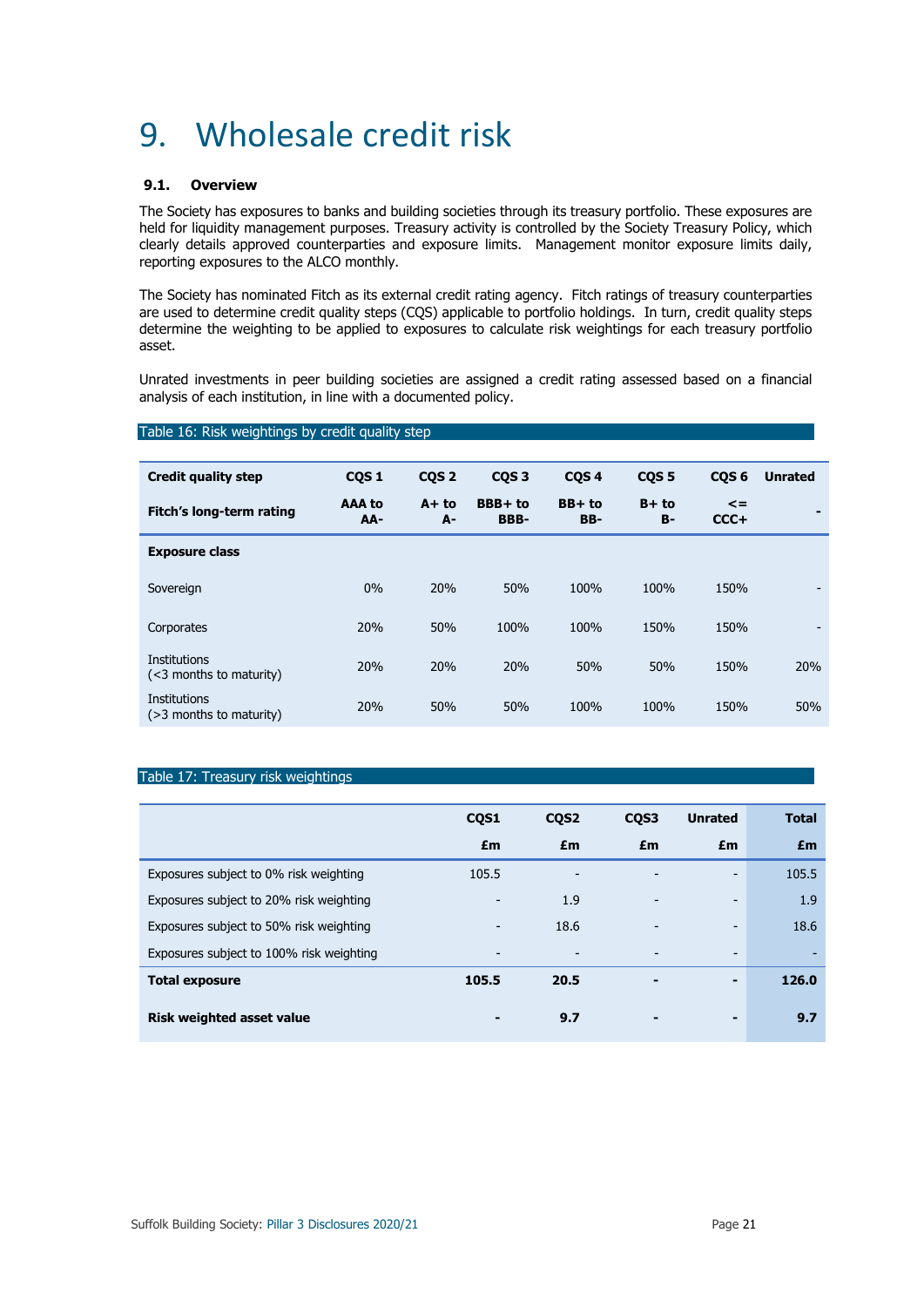## 9. Wholesale credit risk

## **9.1. Overview**

The Society has exposures to banks and building societies through its treasury portfolio. These exposures are held for liquidity management purposes. Treasury activity is controlled by the Society Treasury Policy, which clearly details approved counterparties and exposure limits. Management monitor exposure limits daily, reporting exposures to the ALCO monthly.

The Society has nominated Fitch as its external credit rating agency. Fitch ratings of treasury counterparties are used to determine credit quality steps (CQS) applicable to portfolio holdings. In turn, credit quality steps determine the weighting to be applied to exposures to calculate risk weightings for each treasury portfolio asset.

Unrated investments in peer building societies are assigned a credit rating assessed based on a financial analysis of each institution, in line with a documented policy.

#### Table 16: Risk weightings by credit quality step

| <b>Credit quality step</b>                        | CQS <sub>1</sub> | CQS <sub>2</sub> | CQS <sub>3</sub> | CQS <sub>4</sub> | CQS <sub>5</sub> | CQS <sub>6</sub>     | <b>Unrated</b> |
|---------------------------------------------------|------------------|------------------|------------------|------------------|------------------|----------------------|----------------|
| Fitch's long-term rating                          | AAA to<br>AA-    | $A + to$<br>А-   | BBB+ to<br>BBB-  | BB+ to<br>BB-    | $B+to$<br>в-     | $\leq$ $=$<br>$CCC+$ |                |
| <b>Exposure class</b>                             |                  |                  |                  |                  |                  |                      |                |
| Sovereign                                         | $0\%$            | 20%              | 50%              | 100%             | 100%             | 150%                 |                |
| Corporates                                        | 20%              | 50%              | 100%             | 100%             | 150%             | 150%                 |                |
| <b>Institutions</b><br>$(<$ 3 months to maturity) | 20%              | 20%              | 20%              | 50%              | 50%              | 150%                 | 20%            |
| <b>Institutions</b><br>$($ >3 months to maturity) | 20%              | 50%              | 50%              | 100%             | 100%             | 150%                 | 50%            |

## Table 17: Treasury risk weightings

|                                          | CQS1                     | CQS <sub>2</sub>         | CQS3                     | <b>Unrated</b> | <b>Total</b> |
|------------------------------------------|--------------------------|--------------------------|--------------------------|----------------|--------------|
|                                          | £m                       | £m                       | £m                       | £m             | £m           |
| Exposures subject to 0% risk weighting   | 105.5                    |                          |                          | -              | 105.5        |
| Exposures subject to 20% risk weighting  | $\overline{\phantom{a}}$ | 1.9                      | -                        | -              | 1.9          |
| Exposures subject to 50% risk weighting  | -                        | 18.6                     | $\overline{\phantom{0}}$ | -              | 18.6         |
| Exposures subject to 100% risk weighting | -                        | $\overline{\phantom{a}}$ | -                        | -              |              |
| <b>Total exposure</b>                    | 105.5                    | 20.5                     | $\blacksquare$           | -              | 126.0        |
| <b>Risk weighted asset value</b>         | -                        | 9.7                      | ۰                        | -              | 9.7          |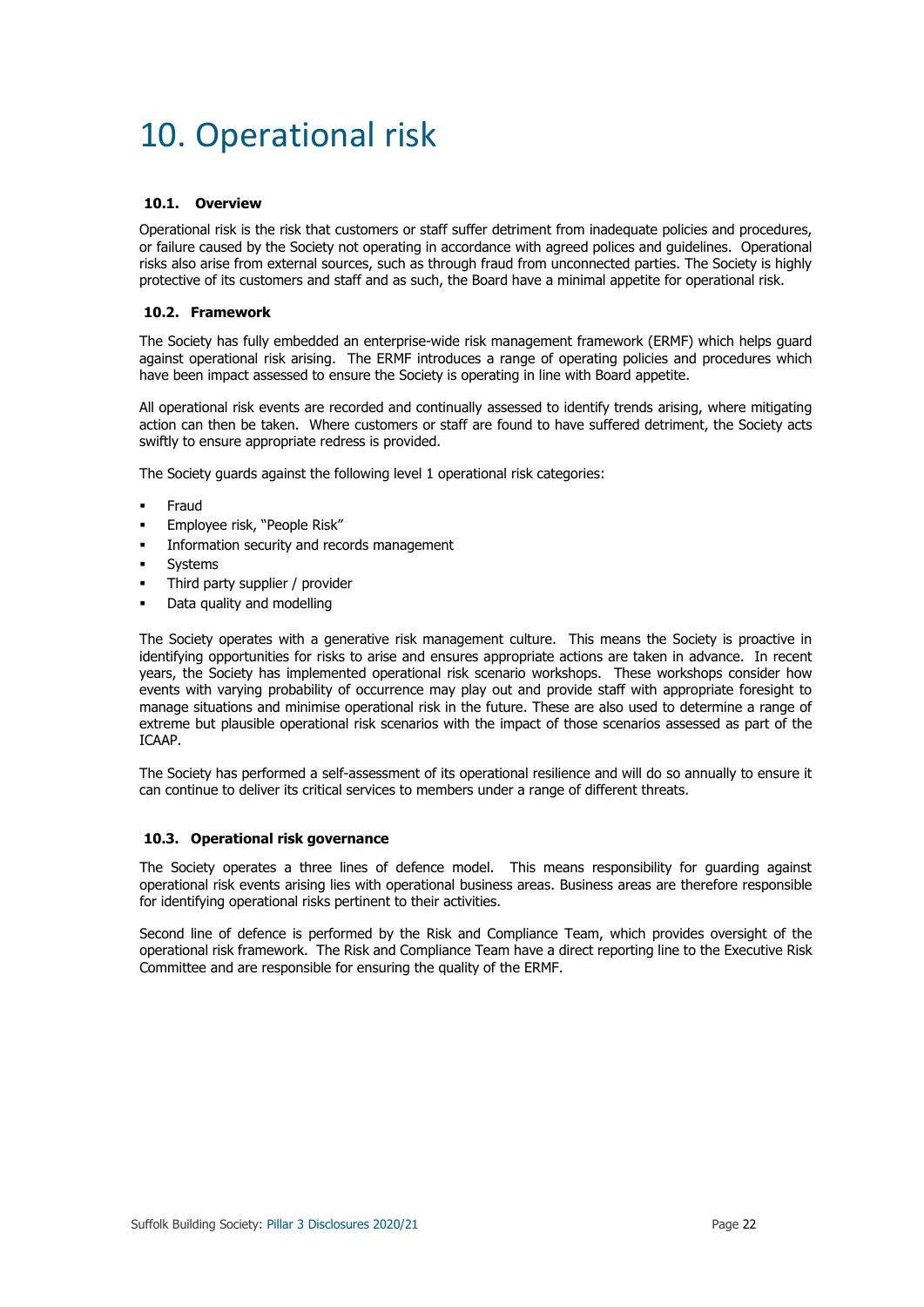## 10. Operational risk

### **10.1. Overview**

Operational risk is the risk that customers or staff suffer detriment from inadequate policies and procedures, or failure caused by the Society not operating in accordance with agreed polices and guidelines. Operational risks also arise from external sources, such as through fraud from unconnected parties. The Society is highly protective of its customers and staff and as such, the Board have a minimal appetite for operational risk.

## **10.2. Framework**

The Society has fully embedded an enterprise-wide risk management framework (ERMF) which helps guard against operational risk arising. The ERMF introduces a range of operating policies and procedures which have been impact assessed to ensure the Society is operating in line with Board appetite.

All operational risk events are recorded and continually assessed to identify trends arising, where mitigating action can then be taken. Where customers or staff are found to have suffered detriment, the Society acts swiftly to ensure appropriate redress is provided.

The Society guards against the following level 1 operational risk categories:

- Fraud
- Employee risk, "People Risk"
- Information security and records management
- Systems
- Third party supplier / provider
- Data quality and modelling

The Society operates with a generative risk management culture. This means the Society is proactive in identifying opportunities for risks to arise and ensures appropriate actions are taken in advance. In recent years, the Society has implemented operational risk scenario workshops. These workshops consider how events with varying probability of occurrence may play out and provide staff with appropriate foresight to manage situations and minimise operational risk in the future. These are also used to determine a range of extreme but plausible operational risk scenarios with the impact of those scenarios assessed as part of the ICAAP.

The Society has performed a self-assessment of its operational resilience and will do so annually to ensure it can continue to deliver its critical services to members under a range of different threats.

## **10.3. Operational risk governance**

The Society operates a three lines of defence model. This means responsibility for guarding against operational risk events arising lies with operational business areas. Business areas are therefore responsible for identifying operational risks pertinent to their activities.

Second line of defence is performed by the Risk and Compliance Team, which provides oversight of the operational risk framework. The Risk and Compliance Team have a direct reporting line to the Executive Risk Committee and are responsible for ensuring the quality of the ERMF.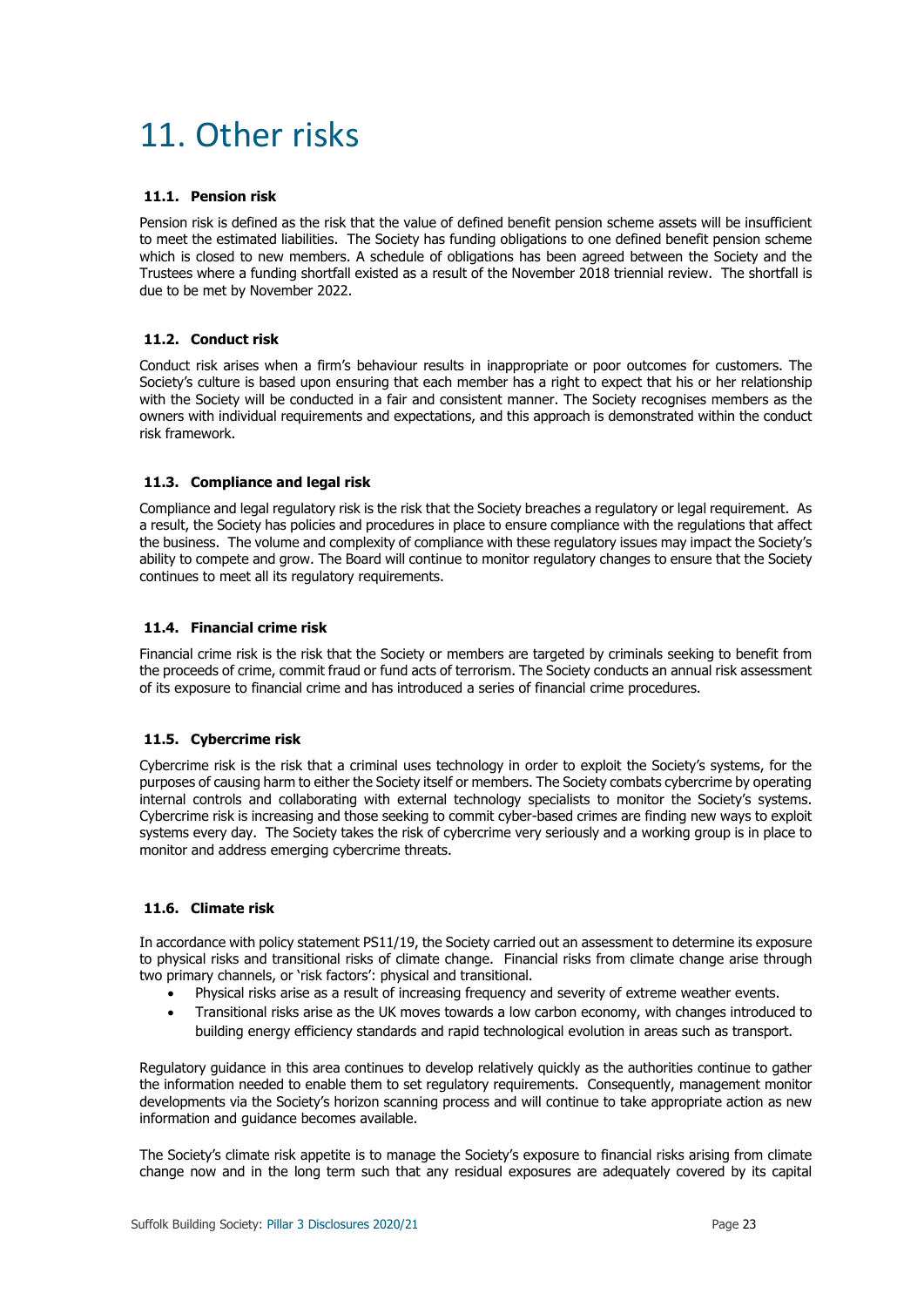## 11. Other risks

### **11.1. Pension risk**

Pension risk is defined as the risk that the value of defined benefit pension scheme assets will be insufficient to meet the estimated liabilities. The Society has funding obligations to one defined benefit pension scheme which is closed to new members. A schedule of obligations has been agreed between the Society and the Trustees where a funding shortfall existed as a result of the November 2018 triennial review. The shortfall is due to be met by November 2022.

## **11.2. Conduct risk**

Conduct risk arises when a firm's behaviour results in inappropriate or poor outcomes for customers. The Society's culture is based upon ensuring that each member has a right to expect that his or her relationship with the Society will be conducted in a fair and consistent manner. The Society recognises members as the owners with individual requirements and expectations, and this approach is demonstrated within the conduct risk framework.

## **11.3. Compliance and legal risk**

Compliance and legal regulatory risk is the risk that the Society breaches a regulatory or legal requirement. As a result, the Society has policies and procedures in place to ensure compliance with the regulations that affect the business. The volume and complexity of compliance with these regulatory issues may impact the Society's ability to compete and grow. The Board will continue to monitor regulatory changes to ensure that the Society continues to meet all its regulatory requirements.

## **11.4. Financial crime risk**

Financial crime risk is the risk that the Society or members are targeted by criminals seeking to benefit from the proceeds of crime, commit fraud or fund acts of terrorism. The Society conducts an annual risk assessment of its exposure to financial crime and has introduced a series of financial crime procedures.

## **11.5. Cybercrime risk**

Cybercrime risk is the risk that a criminal uses technology in order to exploit the Society's systems, for the purposes of causing harm to either the Society itself or members. The Society combats cybercrime by operating internal controls and collaborating with external technology specialists to monitor the Society's systems. Cybercrime risk is increasing and those seeking to commit cyber-based crimes are finding new ways to exploit systems every day. The Society takes the risk of cybercrime very seriously and a working group is in place to monitor and address emerging cybercrime threats.

## **11.6. Climate risk**

In accordance with policy statement PS11/19, the Society carried out an assessment to determine its exposure to physical risks and transitional risks of climate change. Financial risks from climate change arise through two primary channels, or 'risk factors': physical and transitional.

- Physical risks arise as a result of increasing frequency and severity of extreme weather events.
- Transitional risks arise as the UK moves towards a low carbon economy, with changes introduced to building energy efficiency standards and rapid technological evolution in areas such as transport.

Regulatory guidance in this area continues to develop relatively quickly as the authorities continue to gather the information needed to enable them to set regulatory requirements. Consequently, management monitor developments via the Society's horizon scanning process and will continue to take appropriate action as new information and guidance becomes available.

The Society's climate risk appetite is to manage the Society's exposure to financial risks arising from climate change now and in the long term such that any residual exposures are adequately covered by its capital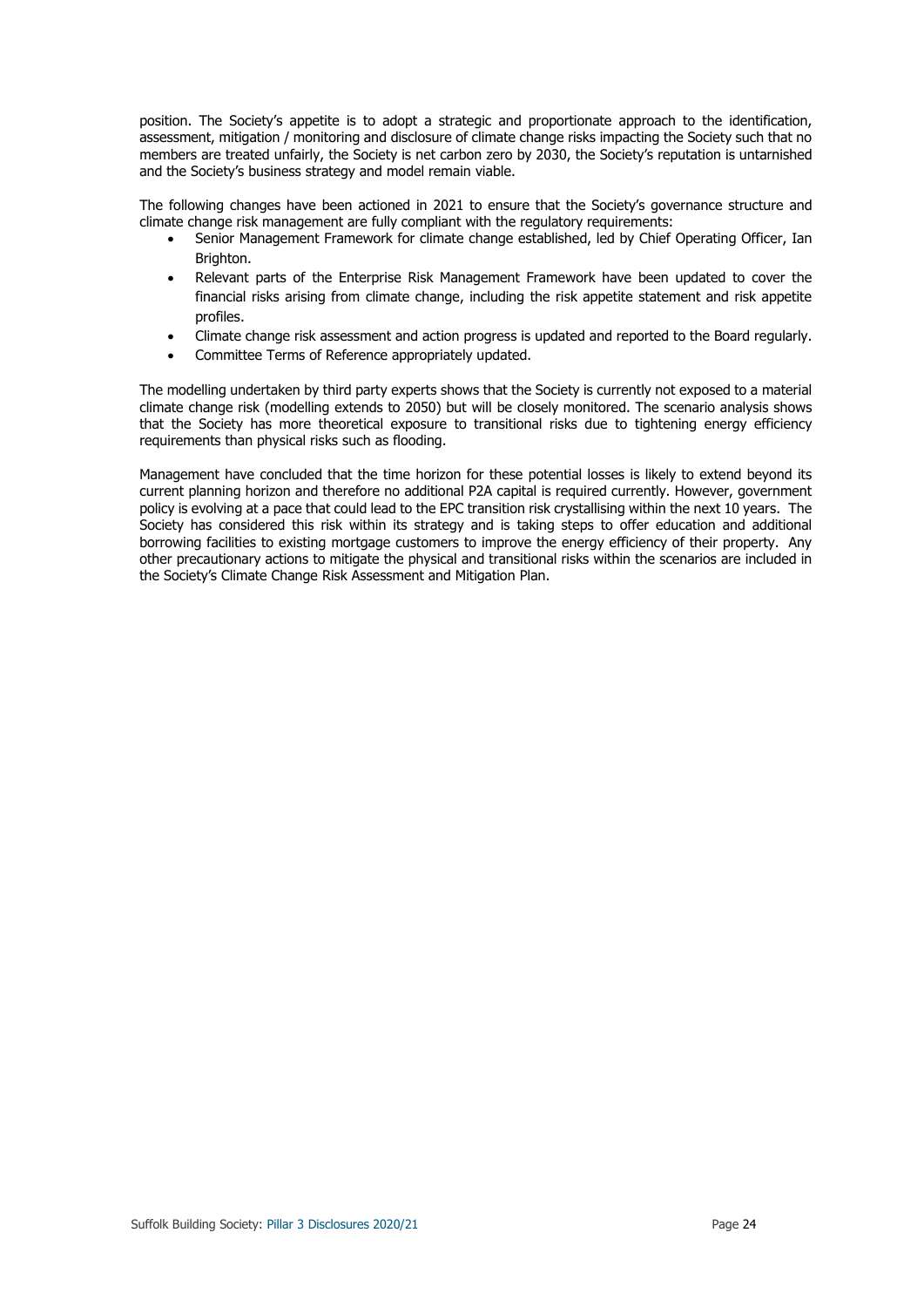position. The Society's appetite is to adopt a strategic and proportionate approach to the identification, assessment, mitigation / monitoring and disclosure of climate change risks impacting the Society such that no members are treated unfairly, the Society is net carbon zero by 2030, the Society's reputation is untarnished and the Society's business strategy and model remain viable.

The following changes have been actioned in 2021 to ensure that the Society's governance structure and climate change risk management are fully compliant with the regulatory requirements:

- Senior Management Framework for climate change established, led by Chief Operating Officer, Ian Brighton.
- Relevant parts of the Enterprise Risk Management Framework have been updated to cover the financial risks arising from climate change, including the risk appetite statement and risk appetite profiles.
- Climate change risk assessment and action progress is updated and reported to the Board regularly.
- Committee Terms of Reference appropriately updated.

The modelling undertaken by third party experts shows that the Society is currently not exposed to a material climate change risk (modelling extends to 2050) but will be closely monitored. The scenario analysis shows that the Society has more theoretical exposure to transitional risks due to tightening energy efficiency requirements than physical risks such as flooding.

Management have concluded that the time horizon for these potential losses is likely to extend beyond its current planning horizon and therefore no additional P2A capital is required currently. However, government policy is evolving at a pace that could lead to the EPC transition risk crystallising within the next 10 years. The Society has considered this risk within its strategy and is taking steps to offer education and additional borrowing facilities to existing mortgage customers to improve the energy efficiency of their property. Any other precautionary actions to mitigate the physical and transitional risks within the scenarios are included in the Society's Climate Change Risk Assessment and Mitigation Plan.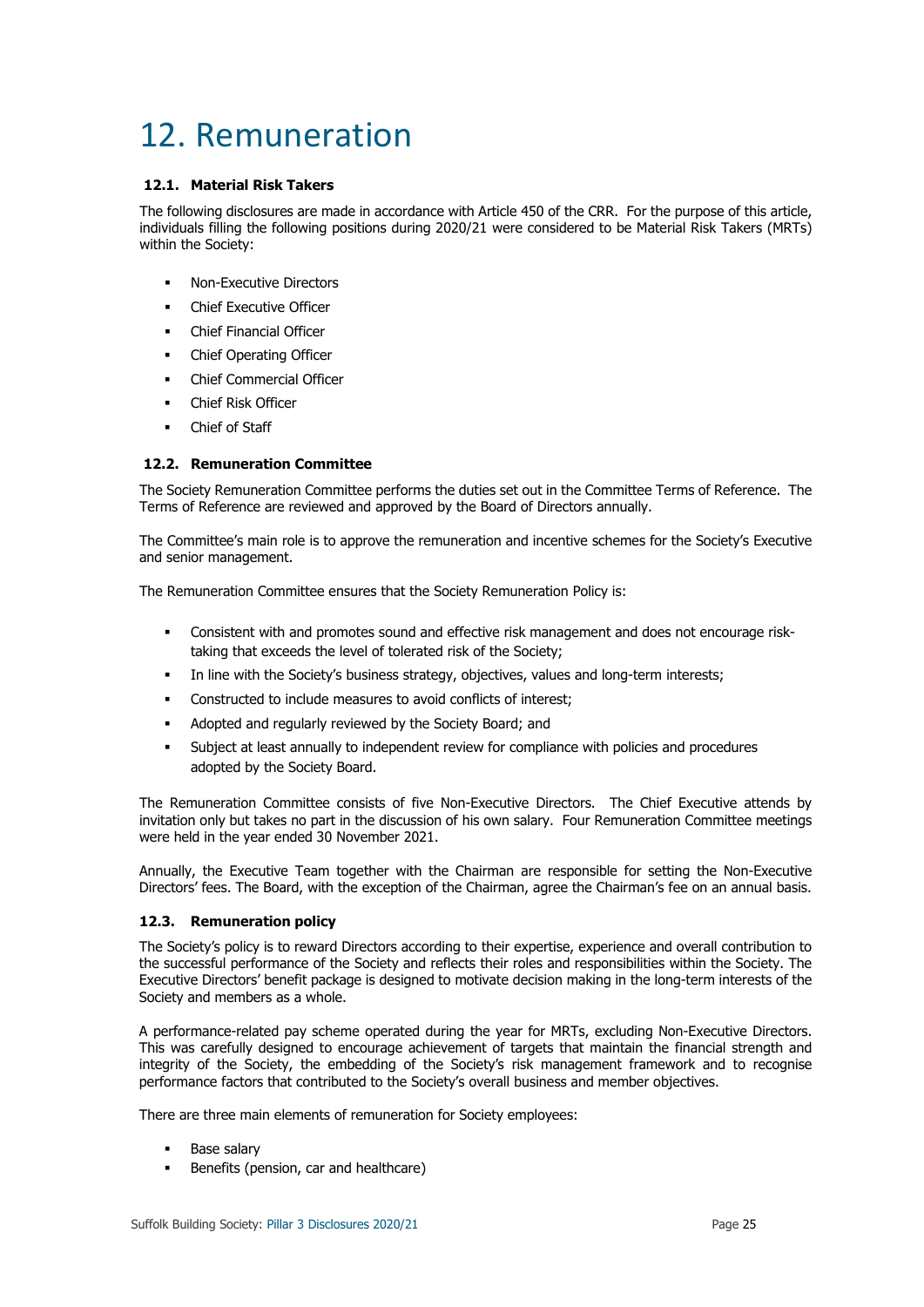## 12. Remuneration

## **12.1. Material Risk Takers**

The following disclosures are made in accordance with Article 450 of the CRR. For the purpose of this article, individuals filling the following positions during 2020/21 were considered to be Material Risk Takers (MRTs) within the Society:

- Non-Executive Directors
- Chief Executive Officer
- Chief Financial Officer
- Chief Operating Officer
- Chief Commercial Officer
- Chief Risk Officer
- Chief of Staff

## **12.2. Remuneration Committee**

The Society Remuneration Committee performs the duties set out in the Committee Terms of Reference. The Terms of Reference are reviewed and approved by the Board of Directors annually.

The Committee's main role is to approve the remuneration and incentive schemes for the Society's Executive and senior management.

The Remuneration Committee ensures that the Society Remuneration Policy is:

- Consistent with and promotes sound and effective risk management and does not encourage risktaking that exceeds the level of tolerated risk of the Society;
- In line with the Society's business strategy, objectives, values and long-term interests;
- Constructed to include measures to avoid conflicts of interest;
- Adopted and regularly reviewed by the Society Board; and
- Subject at least annually to independent review for compliance with policies and procedures adopted by the Society Board.

The Remuneration Committee consists of five Non-Executive Directors. The Chief Executive attends by invitation only but takes no part in the discussion of his own salary. Four Remuneration Committee meetings were held in the year ended 30 November 2021.

Annually, the Executive Team together with the Chairman are responsible for setting the Non-Executive Directors' fees. The Board, with the exception of the Chairman, agree the Chairman's fee on an annual basis.

## **12.3. Remuneration policy**

The Society's policy is to reward Directors according to their expertise, experience and overall contribution to the successful performance of the Society and reflects their roles and responsibilities within the Society. The Executive Directors' benefit package is designed to motivate decision making in the long-term interests of the Society and members as a whole.

A performance-related pay scheme operated during the year for MRTs, excluding Non-Executive Directors. This was carefully designed to encourage achievement of targets that maintain the financial strength and integrity of the Society, the embedding of the Society's risk management framework and to recognise performance factors that contributed to the Society's overall business and member objectives.

There are three main elements of remuneration for Society employees:

- Base salary
- Benefits (pension, car and healthcare)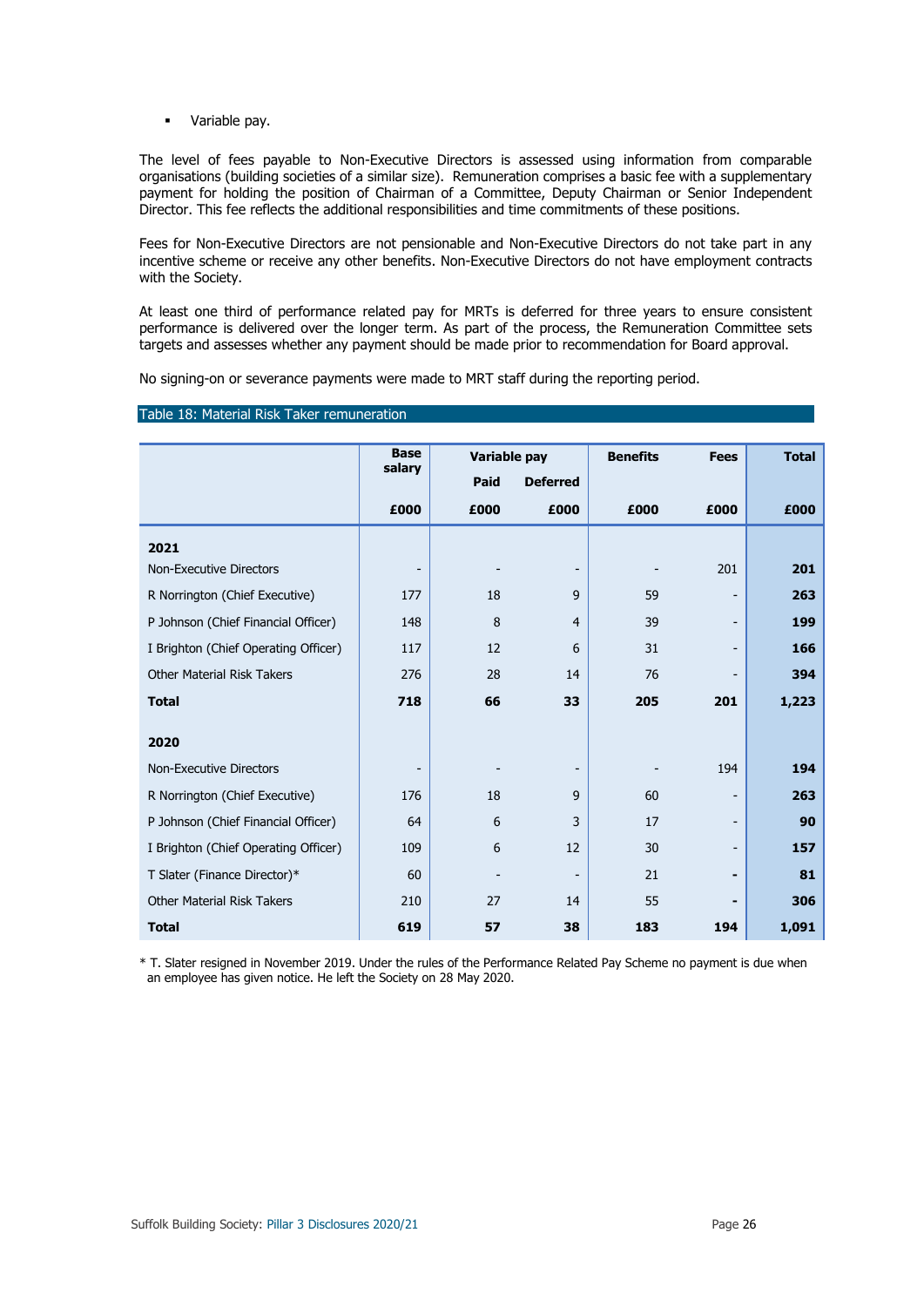Variable pay.

The level of fees payable to Non-Executive Directors is assessed using information from comparable organisations (building societies of a similar size). Remuneration comprises a basic fee with a supplementary payment for holding the position of Chairman of a Committee, Deputy Chairman or Senior Independent Director. This fee reflects the additional responsibilities and time commitments of these positions.

Fees for Non-Executive Directors are not pensionable and Non-Executive Directors do not take part in any incentive scheme or receive any other benefits. Non-Executive Directors do not have employment contracts with the Society.

At least one third of performance related pay for MRTs is deferred for three years to ensure consistent performance is delivered over the longer term. As part of the process, the Remuneration Committee sets targets and assesses whether any payment should be made prior to recommendation for Board approval.

No signing-on or severance payments were made to MRT staff during the reporting period.

| Table 18: Material Risk Taker remuneration |  |  |
|--------------------------------------------|--|--|
|--------------------------------------------|--|--|

|                                      | <b>Base</b><br>salary    |      | Variable pay             | <b>Benefits</b> | <b>Fees</b>                  | <b>Total</b> |
|--------------------------------------|--------------------------|------|--------------------------|-----------------|------------------------------|--------------|
|                                      |                          | Paid | <b>Deferred</b>          |                 |                              |              |
|                                      | £000                     | £000 | £000                     | £000            | £000                         | £000         |
| 2021                                 |                          |      |                          |                 |                              |              |
| <b>Non-Executive Directors</b>       | $\overline{\phantom{a}}$ |      |                          |                 | 201                          | 201          |
| R Norrington (Chief Executive)       | 177                      | 18   | 9                        | 59              | -                            | 263          |
| P Johnson (Chief Financial Officer)  | 148                      | 8    | 4                        | 39              | $\overline{\phantom{m}}$     | 199          |
| I Brighton (Chief Operating Officer) | 117                      | 12   | 6                        | 31              | -                            | 166          |
| <b>Other Material Risk Takers</b>    | 276                      | 28   | 14                       | 76              | ۳                            | 394          |
| <b>Total</b>                         | 718                      | 66   | 33                       | 205             | 201                          | 1,223        |
|                                      |                          |      |                          |                 |                              |              |
| 2020                                 |                          |      |                          |                 |                              |              |
| <b>Non-Executive Directors</b>       | $\overline{\phantom{a}}$ |      | $\overline{\phantom{a}}$ |                 | 194                          | 194          |
| R Norrington (Chief Executive)       | 176                      | 18   | 9                        | 60              | -                            | 263          |
| P Johnson (Chief Financial Officer)  | 64                       | 6    | 3                        | 17              | $\qquad \qquad \blacksquare$ | 90           |
| I Brighton (Chief Operating Officer) | 109                      | 6    | 12                       | 30              | -                            | 157          |
| T Slater (Finance Director)*         | 60                       |      |                          | 21              | -                            | 81           |
| <b>Other Material Risk Takers</b>    | 210                      | 27   | 14                       | 55              |                              | 306          |
| <b>Total</b>                         | 619                      | 57   | 38                       | 183             | 194                          | 1,091        |

\* T. Slater resigned in November 2019. Under the rules of the Performance Related Pay Scheme no payment is due when an employee has given notice. He left the Society on 28 May 2020.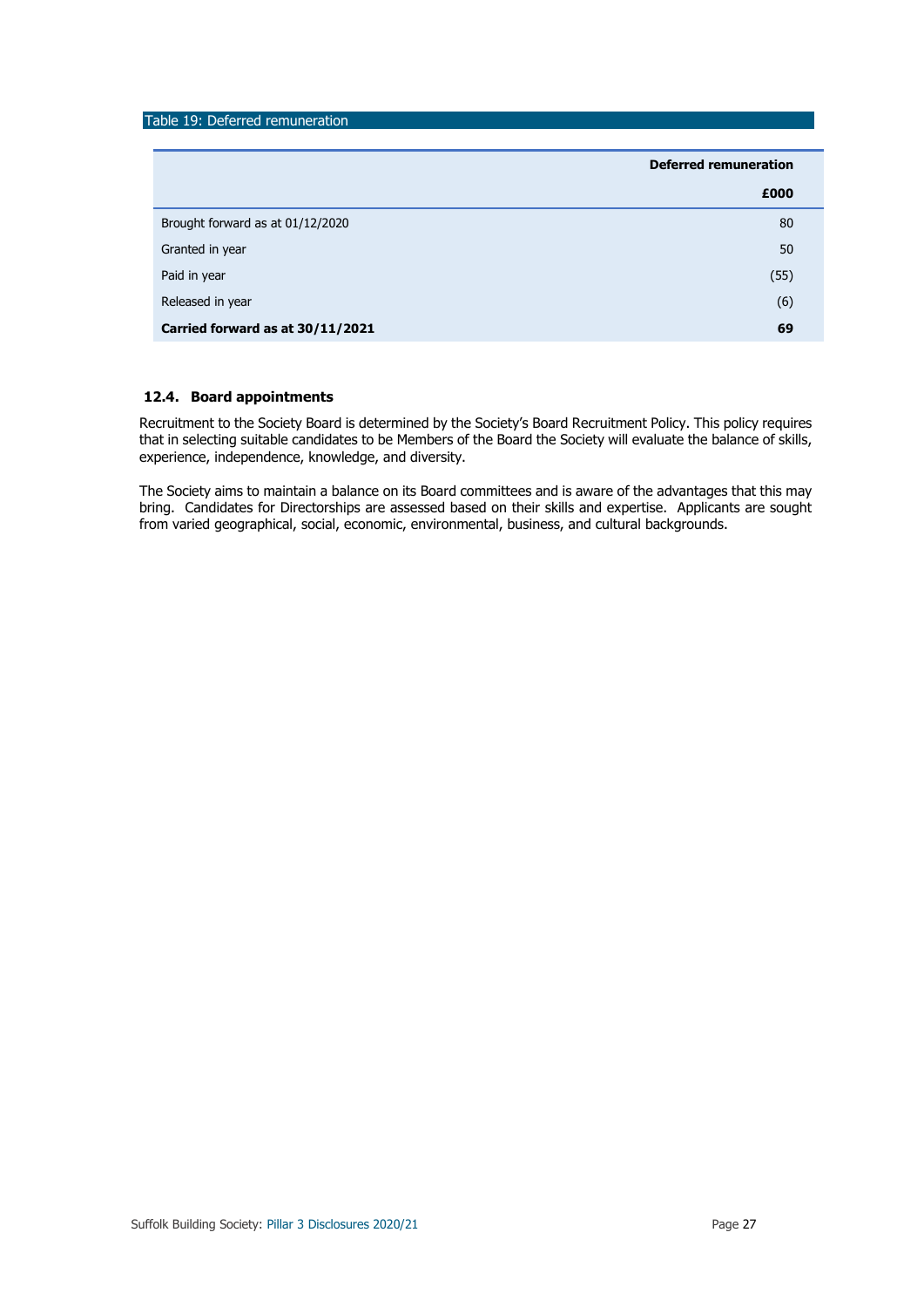## Table 19: Deferred remuneration

|                                  | <b>Deferred remuneration</b> |
|----------------------------------|------------------------------|
|                                  | £000                         |
| Brought forward as at 01/12/2020 | 80                           |
| Granted in year                  | 50                           |
| Paid in year                     | (55)                         |
| Released in year                 | (6)                          |
| Carried forward as at 30/11/2021 | 69                           |

### **12.4. Board appointments**

Recruitment to the Society Board is determined by the Society's Board Recruitment Policy. This policy requires that in selecting suitable candidates to be Members of the Board the Society will evaluate the balance of skills, experience, independence, knowledge, and diversity.

The Society aims to maintain a balance on its Board committees and is aware of the advantages that this may bring. Candidates for Directorships are assessed based on their skills and expertise. Applicants are sought from varied geographical, social, economic, environmental, business, and cultural backgrounds.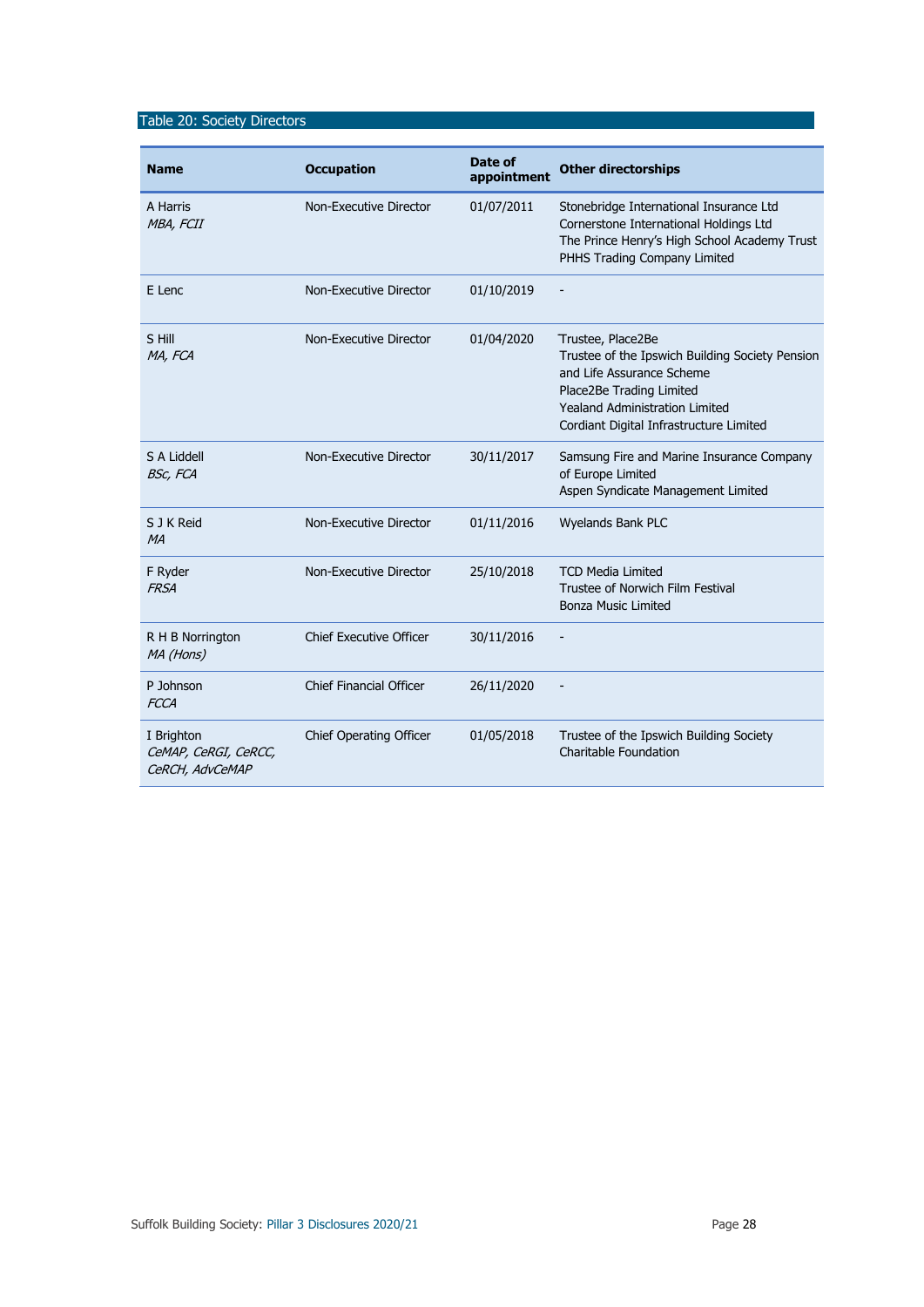## Table 20: Society Directors

| <b>Name</b>                                           | <b>Occupation</b>              | Date of<br>appointment | <b>Other directorships</b>                                                                                                                                                                                        |
|-------------------------------------------------------|--------------------------------|------------------------|-------------------------------------------------------------------------------------------------------------------------------------------------------------------------------------------------------------------|
| A Harris<br>MBA, FCII                                 | Non-Executive Director         | 01/07/2011             | Stonebridge International Insurance Ltd<br>Cornerstone International Holdings Ltd<br>The Prince Henry's High School Academy Trust<br>PHHS Trading Company Limited                                                 |
| E Lenc                                                | Non-Executive Director         | 01/10/2019             |                                                                                                                                                                                                                   |
| S Hill<br>MA, FCA                                     | Non-Executive Director         | 01/04/2020             | Trustee, Place2Be<br>Trustee of the Ipswich Building Society Pension<br>and Life Assurance Scheme<br>Place2Be Trading Limited<br><b>Yealand Administration Limited</b><br>Cordiant Digital Infrastructure Limited |
| S A Liddell<br><b>BSc, FCA</b>                        | Non-Executive Director         | 30/11/2017             | Samsung Fire and Marine Insurance Company<br>of Europe Limited<br>Aspen Syndicate Management Limited                                                                                                              |
| S J K Reid<br>MA                                      | Non-Executive Director         | 01/11/2016             | Wyelands Bank PLC                                                                                                                                                                                                 |
| F Ryder<br><b>FRSA</b>                                | Non-Executive Director         | 25/10/2018             | <b>TCD Media Limited</b><br>Trustee of Norwich Film Festival<br><b>Bonza Music Limited</b>                                                                                                                        |
| R H B Norrington<br>MA (Hons)                         | <b>Chief Executive Officer</b> | 30/11/2016             |                                                                                                                                                                                                                   |
| P Johnson<br><b>FCCA</b>                              | <b>Chief Financial Officer</b> | 26/11/2020             | $\overline{\phantom{a}}$                                                                                                                                                                                          |
| I Brighton<br>CeMAP, CeRGI, CeRCC,<br>CeRCH, AdvCeMAP | Chief Operating Officer        | 01/05/2018             | Trustee of the Ipswich Building Society<br>Charitable Foundation                                                                                                                                                  |